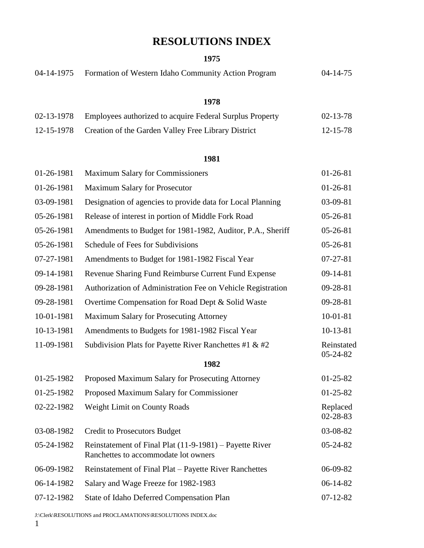# **RESOLUTIONS INDEX**

#### **1975**

| 04-14-1975 | Formation of Western Idaho Community Action Program                                             | $04 - 14 - 75$             |
|------------|-------------------------------------------------------------------------------------------------|----------------------------|
|            | 1978                                                                                            |                            |
| 02-13-1978 | Employees authorized to acquire Federal Surplus Property                                        | $02 - 13 - 78$             |
| 12-15-1978 | Creation of the Garden Valley Free Library District                                             | 12-15-78                   |
|            | 1981                                                                                            |                            |
| 01-26-1981 | <b>Maximum Salary for Commissioners</b>                                                         | $01-26-81$                 |
| 01-26-1981 | <b>Maximum Salary for Prosecutor</b>                                                            | $01-26-81$                 |
| 03-09-1981 | Designation of agencies to provide data for Local Planning                                      | 03-09-81                   |
| 05-26-1981 | Release of interest in portion of Middle Fork Road                                              | 05-26-81                   |
| 05-26-1981 | Amendments to Budget for 1981-1982, Auditor, P.A., Sheriff                                      | $05-26-81$                 |
| 05-26-1981 | Schedule of Fees for Subdivisions                                                               | $05-26-81$                 |
| 07-27-1981 | Amendments to Budget for 1981-1982 Fiscal Year                                                  | $07 - 27 - 81$             |
| 09-14-1981 | Revenue Sharing Fund Reimburse Current Fund Expense                                             | 09-14-81                   |
| 09-28-1981 | Authorization of Administration Fee on Vehicle Registration                                     | 09-28-81                   |
| 09-28-1981 | Overtime Compensation for Road Dept & Solid Waste                                               | 09-28-81                   |
| 10-01-1981 | Maximum Salary for Prosecuting Attorney                                                         | $10 - 01 - 81$             |
| 10-13-1981 | Amendments to Budgets for 1981-1982 Fiscal Year                                                 | $10-13-81$                 |
| 11-09-1981 | Subdivision Plats for Payette River Ranchettes #1 & #2                                          | Reinstated<br>05-24-82     |
|            | 1982                                                                                            |                            |
| 01-25-1982 | Proposed Maximum Salary for Prosecuting Attorney                                                | $01 - 25 - 82$             |
| 01-25-1982 | Proposed Maximum Salary for Commissioner                                                        | $01-25-82$                 |
| 02-22-1982 | <b>Weight Limit on County Roads</b>                                                             | Replaced<br>$02 - 28 - 83$ |
| 03-08-1982 | <b>Credit to Prosecutors Budget</b>                                                             | 03-08-82                   |
| 05-24-1982 | Reinstatement of Final Plat (11-9-1981) – Payette River<br>Ranchettes to accommodate lot owners | $05 - 24 - 82$             |
| 06-09-1982 | Reinstatement of Final Plat – Payette River Ranchettes                                          | 06-09-82                   |
| 06-14-1982 | Salary and Wage Freeze for 1982-1983                                                            | $06-14-82$                 |
| 07-12-1982 | State of Idaho Deferred Compensation Plan                                                       | $07 - 12 - 82$             |

J:\Clerk\RESOLUTIONS and PROCLAMATIONS\RESOLUTIONS INDEX.doc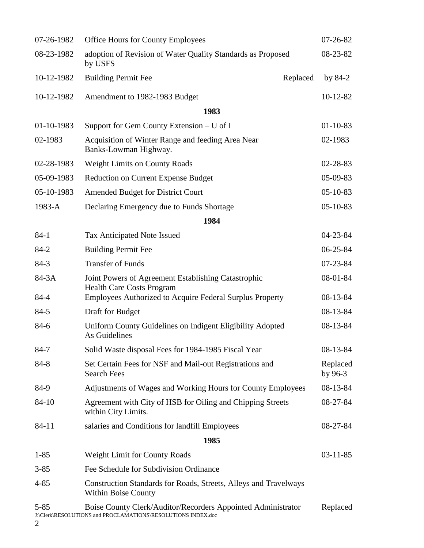| 07-26-1982    | <b>Office Hours for County Employees</b>                                                                                     |          | $07 - 26 - 82$        |
|---------------|------------------------------------------------------------------------------------------------------------------------------|----------|-----------------------|
| 08-23-1982    | adoption of Revision of Water Quality Standards as Proposed<br>by USFS                                                       |          | $08 - 23 - 82$        |
| 10-12-1982    | <b>Building Permit Fee</b>                                                                                                   | Replaced | by $84-2$             |
| 10-12-1982    | Amendment to 1982-1983 Budget                                                                                                |          | $10-12-82$            |
|               | 1983                                                                                                                         |          |                       |
| 01-10-1983    | Support for Gem County Extension $- U$ of I                                                                                  |          | $01 - 10 - 83$        |
| 02-1983       | Acquisition of Winter Range and feeding Area Near<br>Banks-Lowman Highway.                                                   |          | 02-1983               |
| 02-28-1983    | <b>Weight Limits on County Roads</b>                                                                                         |          | $02 - 28 - 83$        |
| 05-09-1983    | <b>Reduction on Current Expense Budget</b>                                                                                   |          | 05-09-83              |
| 05-10-1983    | Amended Budget for District Court                                                                                            |          | $05 - 10 - 83$        |
| 1983-A        | Declaring Emergency due to Funds Shortage                                                                                    |          | $05-10-83$            |
|               | 1984                                                                                                                         |          |                       |
| $84-1$        | Tax Anticipated Note Issued                                                                                                  |          | $04 - 23 - 84$        |
| $84 - 2$      | <b>Building Permit Fee</b>                                                                                                   |          | 06-25-84              |
| $84-3$        | <b>Transfer of Funds</b>                                                                                                     |          | $07 - 23 - 84$        |
| 84-3A         | Joint Powers of Agreement Establishing Catastrophic<br><b>Health Care Costs Program</b>                                      |          | 08-01-84              |
| 84-4          | Employees Authorized to Acquire Federal Surplus Property                                                                     |          | $08-13-84$            |
| $84 - 5$      | Draft for Budget                                                                                                             |          | 08-13-84              |
| 84-6          | Uniform County Guidelines on Indigent Eligibility Adopted<br>As Guidelines                                                   |          | 08-13-84              |
| $84 - 7$      | Solid Waste disposal Fees for 1984-1985 Fiscal Year                                                                          |          | $08-13-84$            |
| 84-8          | Set Certain Fees for NSF and Mail-out Registrations and<br><b>Search Fees</b>                                                |          | Replaced<br>by $96-3$ |
| 84-9          | Adjustments of Wages and Working Hours for County Employees                                                                  |          | 08-13-84              |
| 84-10         | Agreement with City of HSB for Oiling and Chipping Streets<br>within City Limits.                                            |          | 08-27-84              |
| 84-11         | salaries and Conditions for landfill Employees                                                                               |          | 08-27-84              |
|               | 1985                                                                                                                         |          |                       |
| $1 - 85$      | <b>Weight Limit for County Roads</b>                                                                                         |          | $03-11-85$            |
| $3 - 85$      | Fee Schedule for Subdivision Ordinance                                                                                       |          |                       |
| $4 - 85$      | Construction Standards for Roads, Streets, Alleys and Travelways<br><b>Within Boise County</b>                               |          |                       |
| $5 - 85$<br>2 | Boise County Clerk/Auditor/Recorders Appointed Administrator<br>J:\Clerk\RESOLUTIONS and PROCLAMATIONS\RESOLUTIONS INDEX.doc |          | Replaced              |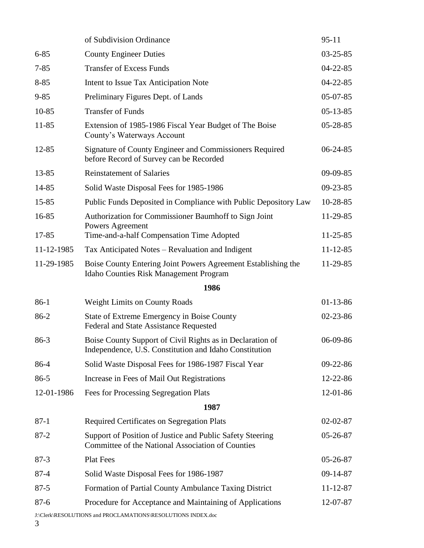|            | of Subdivision Ordinance                                                                                            | $95 - 11$      |
|------------|---------------------------------------------------------------------------------------------------------------------|----------------|
| $6 - 85$   | <b>County Engineer Duties</b>                                                                                       | $03 - 25 - 85$ |
| $7 - 85$   | <b>Transfer of Excess Funds</b>                                                                                     | $04 - 22 - 85$ |
| $8 - 85$   | Intent to Issue Tax Anticipation Note                                                                               | $04 - 22 - 85$ |
| $9 - 85$   | Preliminary Figures Dept. of Lands                                                                                  | $05-07-85$     |
| $10 - 85$  | <b>Transfer of Funds</b>                                                                                            | $05-13-85$     |
| 11-85      | Extension of 1985-1986 Fiscal Year Budget of The Boise<br>County's Waterways Account                                | $05 - 28 - 85$ |
| 12-85      | Signature of County Engineer and Commissioners Required<br>before Record of Survey can be Recorded                  | $06 - 24 - 85$ |
| 13-85      | <b>Reinstatement of Salaries</b>                                                                                    | 09-09-85       |
| 14-85      | Solid Waste Disposal Fees for 1985-1986                                                                             | $09 - 23 - 85$ |
| 15-85      | Public Funds Deposited in Compliance with Public Depository Law                                                     | 10-28-85       |
| 16-85      | Authorization for Commissioner Baumhoff to Sign Joint<br>Powers Agreement                                           | 11-29-85       |
| 17-85      | Time-and-a-half Compensation Time Adopted                                                                           | $11 - 25 - 85$ |
| 11-12-1985 | Tax Anticipated Notes – Revaluation and Indigent                                                                    | $11 - 12 - 85$ |
| 11-29-1985 | Boise County Entering Joint Powers Agreement Establishing the<br>Idaho Counties Risk Management Program             | 11-29-85       |
|            | 1986                                                                                                                |                |
| $86-1$     |                                                                                                                     |                |
|            | <b>Weight Limits on County Roads</b>                                                                                | $01-13-86$     |
| $86-2$     | State of Extreme Emergency in Boise County<br>Federal and State Assistance Requested                                | $02 - 23 - 86$ |
| $86-3$     | Boise County Support of Civil Rights as in Declaration of<br>Independence, U.S. Constitution and Idaho Constitution | 06-09-86       |
| 86-4       | Solid Waste Disposal Fees for 1986-1987 Fiscal Year                                                                 | 09-22-86       |
| $86 - 5$   | Increase in Fees of Mail Out Registrations                                                                          | 12-22-86       |
| 12-01-1986 | Fees for Processing Segregation Plats                                                                               | 12-01-86       |
|            | 1987                                                                                                                |                |
| $87 - 1$   | <b>Required Certificates on Segregation Plats</b>                                                                   | $02 - 02 - 87$ |
| $87 - 2$   | Support of Position of Justice and Public Safety Steering<br>Committee of the National Association of Counties      | 05-26-87       |
| $87-3$     | <b>Plat Fees</b>                                                                                                    | 05-26-87       |
| $87 - 4$   | Solid Waste Disposal Fees for 1986-1987                                                                             | 09-14-87       |
| $87 - 5$   | Formation of Partial County Ambulance Taxing District                                                               | $11 - 12 - 87$ |
| $87 - 6$   | Procedure for Acceptance and Maintaining of Applications                                                            | 12-07-87       |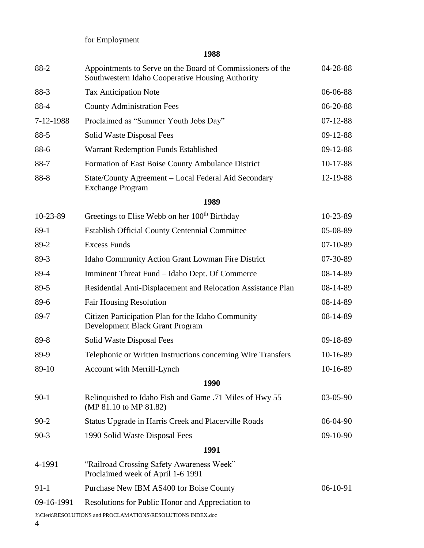for Employment

| 88-2       | Appointments to Serve on the Board of Commissioners of the<br>Southwestern Idaho Cooperative Housing Authority | 04-28-88       |
|------------|----------------------------------------------------------------------------------------------------------------|----------------|
| 88-3       | <b>Tax Anticipation Note</b>                                                                                   | 06-06-88       |
| 88-4       | <b>County Administration Fees</b>                                                                              | 06-20-88       |
| 7-12-1988  | Proclaimed as "Summer Youth Jobs Day"                                                                          | $07 - 12 - 88$ |
| $88-5$     | Solid Waste Disposal Fees                                                                                      | $09-12-88$     |
| 88-6       | Warrant Redemption Funds Established                                                                           | 09-12-88       |
| 88-7       | Formation of East Boise County Ambulance District                                                              | $10-17-88$     |
| 88-8       | State/County Agreement – Local Federal Aid Secondary<br><b>Exchange Program</b>                                | 12-19-88       |
|            | 1989                                                                                                           |                |
| 10-23-89   | Greetings to Elise Webb on her 100 <sup>th</sup> Birthday                                                      | 10-23-89       |
| $89-1$     | <b>Establish Official County Centennial Committee</b>                                                          | 05-08-89       |
| 89-2       | <b>Excess Funds</b>                                                                                            | $07-10-89$     |
| $89-3$     | Idaho Community Action Grant Lowman Fire District                                                              | 07-30-89       |
| 89-4       | Imminent Threat Fund – Idaho Dept. Of Commerce                                                                 | 08-14-89       |
| 89-5       | Residential Anti-Displacement and Relocation Assistance Plan                                                   | 08-14-89       |
| 89-6       | <b>Fair Housing Resolution</b>                                                                                 | 08-14-89       |
| 89-7       | Citizen Participation Plan for the Idaho Community<br>Development Black Grant Program                          | 08-14-89       |
| 89-8       | Solid Waste Disposal Fees                                                                                      | 09-18-89       |
| 89-9       | Telephonic or Written Instructions concerning Wire Transfers                                                   | 10-16-89       |
| 89-10      | <b>Account with Merrill-Lynch</b>                                                                              | 10-16-89       |
|            | 1990                                                                                                           |                |
| $90-1$     | Relinquished to Idaho Fish and Game .71 Miles of Hwy 55<br>(MP 81.10 to MP 81.82)                              | $03-05-90$     |
| $90-2$     | Status Upgrade in Harris Creek and Placerville Roads                                                           | 06-04-90       |
| $90 - 3$   | 1990 Solid Waste Disposal Fees                                                                                 | 09-10-90       |
|            | 1991                                                                                                           |                |
| 4-1991     | "Railroad Crossing Safety Awareness Week"<br>Proclaimed week of April 1-6 1991                                 |                |
| $91-1$     | Purchase New IBM AS400 for Boise County                                                                        | 06-10-91       |
| 09-16-1991 | Resolutions for Public Honor and Appreciation to                                                               |                |
|            | J:\Clerk\RESOLUTIONS and PROCLAMATIONS\RESOLUTIONS INDEX.doc                                                   |                |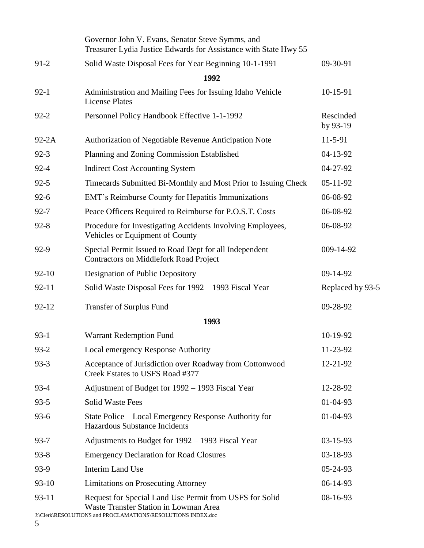|           | Governor John V. Evans, Senator Steve Symms, and<br>Treasurer Lydia Justice Edwards for Assistance with State Hwy 55                                             |                       |
|-----------|------------------------------------------------------------------------------------------------------------------------------------------------------------------|-----------------------|
| $91-2$    | Solid Waste Disposal Fees for Year Beginning 10-1-1991                                                                                                           | 09-30-91              |
|           | 1992                                                                                                                                                             |                       |
| $92-1$    | Administration and Mailing Fees for Issuing Idaho Vehicle<br><b>License Plates</b>                                                                               | 10-15-91              |
| $92 - 2$  | Personnel Policy Handbook Effective 1-1-1992                                                                                                                     | Rescinded<br>by 93-19 |
| $92-2A$   | Authorization of Negotiable Revenue Anticipation Note                                                                                                            | 11-5-91               |
| $92 - 3$  | Planning and Zoning Commission Established                                                                                                                       | 04-13-92              |
| $92 - 4$  | <b>Indirect Cost Accounting System</b>                                                                                                                           | 04-27-92              |
| $92 - 5$  | Timecards Submitted Bi-Monthly and Most Prior to Issuing Check                                                                                                   | $05-11-92$            |
| $92 - 6$  | EMT's Reimburse County for Hepatitis Immunizations                                                                                                               | 06-08-92              |
| $92 - 7$  | Peace Officers Required to Reimburse for P.O.S.T. Costs                                                                                                          | 06-08-92              |
| $92 - 8$  | Procedure for Investigating Accidents Involving Employees,<br>Vehicles or Equipment of County                                                                    | 06-08-92              |
| 92-9      | Special Permit Issued to Road Dept for all Independent<br><b>Contractors on Middlefork Road Project</b>                                                          | 009-14-92             |
| $92 - 10$ | Designation of Public Depository                                                                                                                                 | 09-14-92              |
| $92 - 11$ | Solid Waste Disposal Fees for 1992 – 1993 Fiscal Year                                                                                                            | Replaced by 93-5      |
| $92 - 12$ | <b>Transfer of Surplus Fund</b>                                                                                                                                  | 09-28-92              |
|           | 1993                                                                                                                                                             |                       |
| $93-1$    | Warrant Redemption Fund                                                                                                                                          | 10-19-92              |
| $93 - 2$  | Local emergency Response Authority                                                                                                                               | 11-23-92              |
| $93 - 3$  | Acceptance of Jurisdiction over Roadway from Cottonwood<br>Creek Estates to USFS Road #377                                                                       | 12-21-92              |
| $93 - 4$  | Adjustment of Budget for 1992 - 1993 Fiscal Year                                                                                                                 | 12-28-92              |
| $93 - 5$  | <b>Solid Waste Fees</b>                                                                                                                                          | $01 - 04 - 93$        |
| $93 - 6$  | State Police – Local Emergency Response Authority for<br><b>Hazardous Substance Incidents</b>                                                                    | 01-04-93              |
| $93 - 7$  | Adjustments to Budget for 1992 – 1993 Fiscal Year                                                                                                                | $03 - 15 - 93$        |
| $93 - 8$  | <b>Emergency Declaration for Road Closures</b>                                                                                                                   | 03-18-93              |
| 93-9      | Interim Land Use                                                                                                                                                 | 05-24-93              |
| $93-10$   | <b>Limitations on Prosecuting Attorney</b>                                                                                                                       | 06-14-93              |
| $93 - 11$ | Request for Special Land Use Permit from USFS for Solid<br>Waste Transfer Station in Lowman Area<br>J:\Clerk\RESOLUTIONS and PROCLAMATIONS\RESOLUTIONS INDEX.doc | 08-16-93              |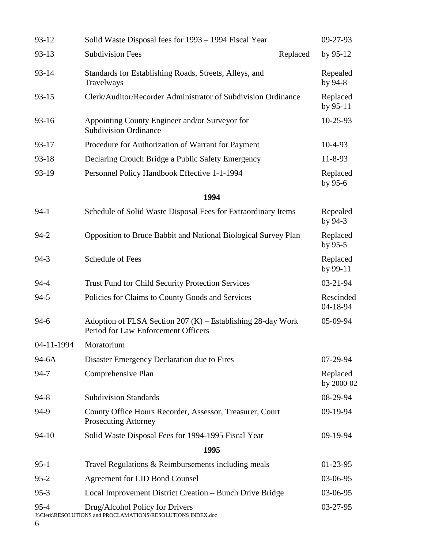| 93-12         | Solid Waste Disposal fees for 1993 – 1994 Fiscal Year                                                |          | 09-27-93               |
|---------------|------------------------------------------------------------------------------------------------------|----------|------------------------|
| $93 - 13$     | <b>Subdivision Fees</b>                                                                              | Replaced | by $95-12$             |
| $93 - 14$     | Standards for Establishing Roads, Streets, Alleys, and<br>Travelways                                 |          | Repealed<br>by 94-8    |
| $93 - 15$     | Clerk/Auditor/Recorder Administrator of Subdivision Ordinance                                        |          | Replaced<br>by $95-11$ |
| $93 - 16$     | Appointing County Engineer and/or Surveyor for<br><b>Subdivision Ordinance</b>                       |          | 10-25-93               |
| $93 - 17$     | Procedure for Authorization of Warrant for Payment                                                   |          | $10-4-93$              |
| 93-18         | Declaring Crouch Bridge a Public Safety Emergency                                                    |          | $11 - 8 - 93$          |
| 93-19         | Personnel Policy Handbook Effective 1-1-1994                                                         |          | Replaced<br>by 95-6    |
|               | 1994                                                                                                 |          |                        |
| $94-1$        | Schedule of Solid Waste Disposal Fees for Extraordinary Items                                        |          | Repealed<br>by $94-3$  |
| $94 - 2$      | Opposition to Bruce Babbit and National Biological Survey Plan                                       |          | Replaced<br>by $95-5$  |
| $94-3$        | Schedule of Fees                                                                                     |          | Replaced<br>by $99-11$ |
| $94 - 4$      | <b>Trust Fund for Child Security Protection Services</b>                                             |          | 03-21-94               |
| $94 - 5$      | Policies for Claims to County Goods and Services                                                     |          | Rescinded<br>04-18-94  |
| $94-6$        | Adoption of FLSA Section $207$ (K) – Establishing 28-day Work<br>Period for Law Enforcement Officers |          | 05-09-94               |
| 04-11-1994    | Moratorium                                                                                           |          |                        |
| 94-6A         | Disaster Emergency Declaration due to Fires                                                          |          | 07-29-94               |
| $94 - 7$      | Comprehensive Plan                                                                                   |          | Replaced<br>by 2000-02 |
| $94 - 8$      | <b>Subdivision Standards</b>                                                                         |          | 08-29-94               |
| 94-9          | County Office Hours Recorder, Assessor, Treasurer, Court<br><b>Prosecuting Attorney</b>              |          | 09-19-94               |
| $94 - 10$     | Solid Waste Disposal Fees for 1994-1995 Fiscal Year                                                  |          | 09-19-94               |
|               | 1995                                                                                                 |          |                        |
| $95-1$        | Travel Regulations & Reimbursements including meals                                                  |          | $01-23-95$             |
| $95 - 2$      | Agreement for LID Bond Counsel                                                                       |          | 03-06-95               |
| $95-3$        | Local Improvement District Creation – Bunch Drive Bridge                                             |          | 03-06-95               |
| $95 - 4$<br>6 | Drug/Alcohol Policy for Drivers<br>J:\Clerk\RESOLUTIONS and PROCLAMATIONS\RESOLUTIONS INDEX.doc      |          | 03-27-95               |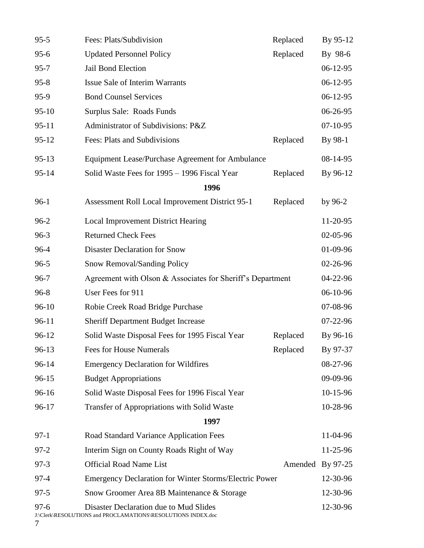| $95 - 5$      | Fees: Plats/Subdivision                                                                                | Replaced         | By 95-12   |
|---------------|--------------------------------------------------------------------------------------------------------|------------------|------------|
| $95 - 6$      | <b>Updated Personnel Policy</b>                                                                        | Replaced         | By 98-6    |
| $95 - 7$      | Jail Bond Election                                                                                     |                  | $06-12-95$ |
| $95 - 8$      | Issue Sale of Interim Warrants                                                                         |                  | $06-12-95$ |
| $95-9$        | <b>Bond Counsel Services</b>                                                                           |                  | $06-12-95$ |
| $95-10$       | Surplus Sale: Roads Funds                                                                              |                  | 06-26-95   |
| $95 - 11$     | Administrator of Subdivisions: P&Z                                                                     |                  | $07-10-95$ |
| $95 - 12$     | Fees: Plats and Subdivisions                                                                           | Replaced         | By 98-1    |
| $95-13$       | Equipment Lease/Purchase Agreement for Ambulance                                                       |                  | 08-14-95   |
| $95 - 14$     | Solid Waste Fees for 1995 - 1996 Fiscal Year                                                           | Replaced         | By 96-12   |
|               | 1996                                                                                                   |                  |            |
| $96-1$        | Assessment Roll Local Improvement District 95-1                                                        | Replaced         | by 96-2    |
| $96-2$        | <b>Local Improvement District Hearing</b>                                                              |                  | 11-20-95   |
| $96-3$        | <b>Returned Check Fees</b>                                                                             |                  | 02-05-96   |
| 96-4          | <b>Disaster Declaration for Snow</b>                                                                   |                  | 01-09-96   |
| $96 - 5$      | <b>Snow Removal/Sanding Policy</b>                                                                     |                  | 02-26-96   |
| $96 - 7$      | Agreement with Olson & Associates for Sheriff's Department                                             |                  | 04-22-96   |
| $96 - 8$      | User Fees for 911                                                                                      |                  | 06-10-96   |
| $96-10$       | Robie Creek Road Bridge Purchase                                                                       |                  | 07-08-96   |
| $96 - 11$     | <b>Sheriff Department Budget Increase</b>                                                              |                  | 07-22-96   |
| 96-12         | Solid Waste Disposal Fees for 1995 Fiscal Year                                                         | Replaced         | By 96-16   |
| $96-13$       | <b>Fees for House Numerals</b>                                                                         | Replaced         | By 97-37   |
| $96 - 14$     | <b>Emergency Declaration for Wildfires</b>                                                             |                  | 08-27-96   |
| $96 - 15$     | <b>Budget Appropriations</b>                                                                           |                  | 09-09-96   |
| 96-16         | Solid Waste Disposal Fees for 1996 Fiscal Year                                                         |                  | 10-15-96   |
| 96-17         | Transfer of Appropriations with Solid Waste                                                            |                  | 10-28-96   |
|               | 1997                                                                                                   |                  |            |
| $97-1$        | Road Standard Variance Application Fees                                                                |                  | 11-04-96   |
| $97 - 2$      | Interim Sign on County Roads Right of Way                                                              |                  | 11-25-96   |
| $97 - 3$      | <b>Official Road Name List</b>                                                                         | Amended By 97-25 |            |
| $97 - 4$      | <b>Emergency Declaration for Winter Storms/Electric Power</b>                                          |                  | 12-30-96   |
| $97 - 5$      | Snow Groomer Area 8B Maintenance & Storage                                                             |                  | 12-30-96   |
| $97 - 6$<br>7 | Disaster Declaration due to Mud Slides<br>J:\Clerk\RESOLUTIONS and PROCLAMATIONS\RESOLUTIONS INDEX.doc |                  | 12-30-96   |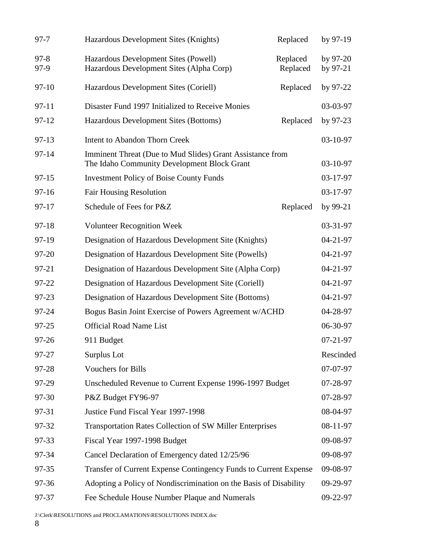| $97 - 7$         | Hazardous Development Sites (Knights)                                                                    | Replaced             | by 97-19                 |
|------------------|----------------------------------------------------------------------------------------------------------|----------------------|--------------------------|
| $97 - 8$<br>97-9 | Hazardous Development Sites (Powell)<br>Hazardous Development Sites (Alpha Corp)                         | Replaced<br>Replaced | by $97-20$<br>by $97-21$ |
| $97-10$          | Hazardous Development Sites (Coriell)                                                                    | Replaced             | by $97-22$               |
| $97 - 11$        | Disaster Fund 1997 Initialized to Receive Monies                                                         |                      | 03-03-97                 |
| 97-12            | Hazardous Development Sites (Bottoms)                                                                    | Replaced             | by 97-23                 |
| $97-13$          | <b>Intent to Abandon Thorn Creek</b>                                                                     |                      | 03-10-97                 |
| 97-14            | Imminent Threat (Due to Mud Slides) Grant Assistance from<br>The Idaho Community Development Block Grant |                      | 03-10-97                 |
| $97 - 15$        | <b>Investment Policy of Boise County Funds</b>                                                           |                      | 03-17-97                 |
| $97 - 16$        | <b>Fair Housing Resolution</b>                                                                           |                      | 03-17-97                 |
| 97-17            | Schedule of Fees for P&Z                                                                                 | Replaced             | by $99-21$               |
| $97 - 18$        | <b>Volunteer Recognition Week</b>                                                                        |                      | 03-31-97                 |
| 97-19            | Designation of Hazardous Development Site (Knights)                                                      |                      | $04 - 21 - 97$           |
| 97-20            | Designation of Hazardous Development Site (Powells)                                                      |                      | $04 - 21 - 97$           |
| 97-21            | Designation of Hazardous Development Site (Alpha Corp)                                                   |                      | 04-21-97                 |
| 97-22            | Designation of Hazardous Development Site (Coriell)                                                      |                      | $04 - 21 - 97$           |
| 97-23            | Designation of Hazardous Development Site (Bottoms)                                                      |                      | $04 - 21 - 97$           |
| 97-24            | Bogus Basin Joint Exercise of Powers Agreement w/ACHD                                                    |                      | 04-28-97                 |
| 97-25            | <b>Official Road Name List</b>                                                                           |                      | 06-30-97                 |
| 97-26            | 911 Budget                                                                                               |                      | $07 - 21 - 97$           |
| 97-27            | Surplus Lot                                                                                              |                      | Rescinded                |
| 97-28            | <b>Vouchers for Bills</b>                                                                                |                      | 07-07-97                 |
| 97-29            | Unscheduled Revenue to Current Expense 1996-1997 Budget                                                  |                      | 07-28-97                 |
| 97-30            | P&Z Budget FY96-97                                                                                       |                      | 07-28-97                 |
| 97-31            | Justice Fund Fiscal Year 1997-1998                                                                       |                      | 08-04-97                 |
| 97-32            | <b>Transportation Rates Collection of SW Miller Enterprises</b>                                          |                      | 08-11-97                 |
| 97-33            | Fiscal Year 1997-1998 Budget                                                                             |                      | 09-08-97                 |
| 97-34            | Cancel Declaration of Emergency dated 12/25/96                                                           |                      | 09-08-97                 |
| 97-35            | Transfer of Current Expense Contingency Funds to Current Expense                                         |                      | 09-08-97                 |
| 97-36            | Adopting a Policy of Nondiscrimination on the Basis of Disability                                        |                      | 09-29-97                 |
| 97-37            | Fee Schedule House Number Plaque and Numerals                                                            |                      | 09-22-97                 |
|                  |                                                                                                          |                      |                          |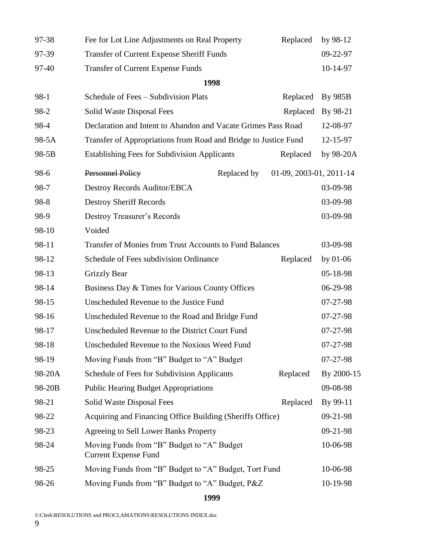| 97-38  | Fee for Lot Line Adjustments on Real Property                             | Replaced                | by 98-12   |
|--------|---------------------------------------------------------------------------|-------------------------|------------|
| 97-39  | Transfer of Current Expense Sheriff Funds                                 |                         | 09-22-97   |
| 97-40  | <b>Transfer of Current Expense Funds</b>                                  |                         | 10-14-97   |
|        | 1998                                                                      |                         |            |
| $98-1$ | Schedule of Fees - Subdivision Plats                                      | Replaced                | By 985B    |
| 98-2   | Solid Waste Disposal Fees                                                 | Replaced                | By 98-21   |
| 98-4   | Declaration and Intent to Abandon and Vacate Grimes Pass Road             |                         | 12-08-97   |
| 98-5A  | Transfer of Appropriations from Road and Bridge to Justice Fund           |                         | 12-15-97   |
| 98-5B  | <b>Establishing Fees for Subdivision Applicants</b>                       | Replaced                | by 98-20A  |
| 98-6   | <b>Personnel Policy</b><br>Replaced by                                    | 01-09, 2003-01, 2011-14 |            |
| 98-7   | Destroy Records Auditor/EBCA                                              |                         | 03-09-98   |
| 98-8   | <b>Destroy Sheriff Records</b>                                            |                         | 03-09-98   |
| 98-9   | <b>Destroy Treasurer's Records</b>                                        |                         | 03-09-98   |
| 98-10  | Voided                                                                    |                         |            |
| 98-11  | Transfer of Monies from Trust Accounts to Fund Balances                   |                         | 03-09-98   |
| 98-12  | Schedule of Fees subdivision Ordinance                                    | Replaced                | by $01-06$ |
| 98-13  | <b>Grizzly Bear</b>                                                       |                         | 05-18-98   |
| 98-14  | Business Day & Times for Various County Offices                           |                         | 06-29-98   |
| 98-15  | Unscheduled Revenue to the Justice Fund                                   |                         | 07-27-98   |
| 98-16  | Unscheduled Revenue to the Road and Bridge Fund                           |                         | 07-27-98   |
| 98-17  | Unscheduled Revenue to the District Court Fund                            |                         | 07-27-98   |
| 98-18  | Unscheduled Revenue to the Noxious Weed Fund                              |                         | $07-27-98$ |
| 98-19  | Moving Funds from "B" Budget to "A" Budget                                |                         | 07-27-98   |
| 98-20A | Schedule of Fees for Subdivision Applicants                               | Replaced                | By 2000-15 |
| 98-20B | <b>Public Hearing Budget Appropriations</b>                               |                         | 09-08-98   |
| 98-21  | Solid Waste Disposal Fees                                                 | Replaced                | By 99-11   |
| 98-22  | Acquiring and Financing Office Building (Sheriffs Office)                 |                         | 09-21-98   |
| 98-23  | Agreeing to Sell Lower Banks Property                                     |                         | 09-21-98   |
| 98-24  | Moving Funds from "B" Budget to "A" Budget<br><b>Current Expense Fund</b> |                         | 10-06-98   |
| 98-25  | Moving Funds from "B" Budget to "A" Budget, Tort Fund                     |                         | 10-06-98   |
| 98-26  | Moving Funds from "B" Budget to "A" Budget, P&Z                           |                         | 10-19-98   |
|        |                                                                           |                         |            |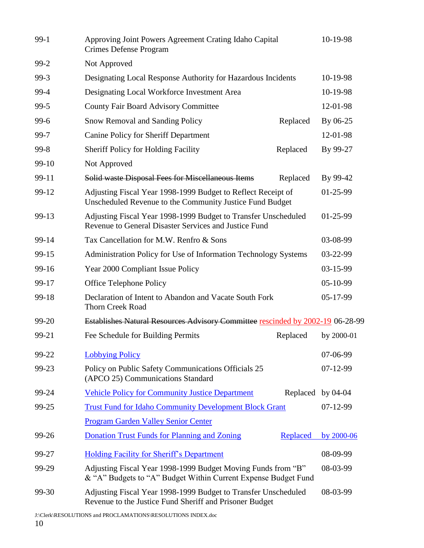| $99-1$ | Approving Joint Powers Agreement Crating Idaho Capital<br>Crimes Defense Program                                               |          | 10-19-98   |
|--------|--------------------------------------------------------------------------------------------------------------------------------|----------|------------|
| $99-2$ | Not Approved                                                                                                                   |          |            |
| $99-3$ | Designating Local Response Authority for Hazardous Incidents                                                                   |          | 10-19-98   |
| 99-4   | Designating Local Workforce Investment Area                                                                                    |          | 10-19-98   |
| $99-5$ | <b>County Fair Board Advisory Committee</b>                                                                                    |          | 12-01-98   |
| $99-6$ | Snow Removal and Sanding Policy                                                                                                | Replaced | By 06-25   |
| 99-7   | <b>Canine Policy for Sheriff Department</b>                                                                                    |          | 12-01-98   |
| $99-8$ | <b>Sheriff Policy for Holding Facility</b>                                                                                     | Replaced | By 99-27   |
| 99-10  | Not Approved                                                                                                                   |          |            |
| 99-11  | Solid waste Disposal Fees for Miscellaneous Items                                                                              | Replaced | By 99-42   |
| 99-12  | Adjusting Fiscal Year 1998-1999 Budget to Reflect Receipt of<br>Unscheduled Revenue to the Community Justice Fund Budget       |          | $01-25-99$ |
| 99-13  | Adjusting Fiscal Year 1998-1999 Budget to Transfer Unscheduled<br>Revenue to General Disaster Services and Justice Fund        |          | 01-25-99   |
| 99-14  | Tax Cancellation for M.W. Renfro & Sons                                                                                        |          | 03-08-99   |
| 99-15  | Administration Policy for Use of Information Technology Systems                                                                |          | 03-22-99   |
| 99-16  | Year 2000 Compliant Issue Policy                                                                                               |          | 03-15-99   |
| 99-17  | Office Telephone Policy                                                                                                        |          | 05-10-99   |
| 99-18  | Declaration of Intent to Abandon and Vacate South Fork<br><b>Thorn Creek Road</b>                                              |          | 05-17-99   |
| 99-20  | Establishes Natural Resources Advisory Committee rescinded by 2002-19 06-28-99                                                 |          |            |
| 99-21  | Fee Schedule for Building Permits                                                                                              | Replaced | by 2000-01 |
| 99-22  | <b>Lobbying Policy</b>                                                                                                         |          | 07-06-99   |
| 99-23  | Policy on Public Safety Communications Officials 25<br>(APCO 25) Communications Standard                                       |          | $07-12-99$ |
| 99-24  | <b>Vehicle Policy for Community Justice Department</b>                                                                         | Replaced | by 04-04   |
| 99-25  | <b>Trust Fund for Idaho Community Development Block Grant</b>                                                                  |          | $07-12-99$ |
|        | <b>Program Garden Valley Senior Center</b>                                                                                     |          |            |
| 99-26  | Donation Trust Funds for Planning and Zoning                                                                                   | Replaced | by 2000-06 |
| 99-27  | Holding Facility for Sheriff's Department                                                                                      |          | 08-09-99   |
| 99-29  | Adjusting Fiscal Year 1998-1999 Budget Moving Funds from "B"<br>& "A" Budgets to "A" Budget Within Current Expense Budget Fund |          | 08-03-99   |
| 99-30  | Adjusting Fiscal Year 1998-1999 Budget to Transfer Unscheduled<br>Revenue to the Justice Fund Sheriff and Prisoner Budget      |          | 08-03-99   |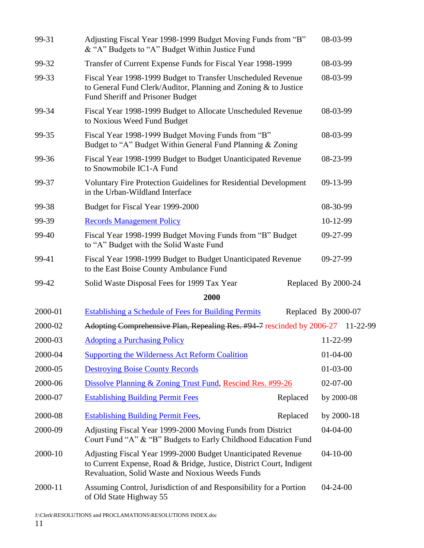| 99-31   | Adjusting Fiscal Year 1998-1999 Budget Moving Funds from "B"<br>& "A" Budgets to "A" Budget Within Justice Fund                                                                          | 08-03-99            |
|---------|------------------------------------------------------------------------------------------------------------------------------------------------------------------------------------------|---------------------|
| 99-32   | Transfer of Current Expense Funds for Fiscal Year 1998-1999                                                                                                                              | 08-03-99            |
| 99-33   | Fiscal Year 1998-1999 Budget to Transfer Unscheduled Revenue<br>to General Fund Clerk/Auditor, Planning and Zoning & to Justice<br>Fund Sheriff and Prisoner Budget                      | 08-03-99            |
| 99-34   | Fiscal Year 1998-1999 Budget to Allocate Unscheduled Revenue<br>to Noxious Weed Fund Budget                                                                                              | 08-03-99            |
| 99-35   | Fiscal Year 1998-1999 Budget Moving Funds from "B"<br>Budget to "A" Budget Within General Fund Planning & Zoning                                                                         | 08-03-99            |
| 99-36   | Fiscal Year 1998-1999 Budget to Budget Unanticipated Revenue<br>to Snowmobile IC1-A Fund                                                                                                 | 08-23-99            |
| 99-37   | <b>Voluntary Fire Protection Guidelines for Residential Development</b><br>in the Urban-Wildland Interface                                                                               | 09-13-99            |
| 99-38   | Budget for Fiscal Year 1999-2000                                                                                                                                                         | 08-30-99            |
| 99-39   | <b>Records Management Policy</b>                                                                                                                                                         | 10-12-99            |
| 99-40   | Fiscal Year 1998-1999 Budget Moving Funds from "B" Budget<br>to "A" Budget with the Solid Waste Fund                                                                                     | 09-27-99            |
| 99-41   | Fiscal Year 1998-1999 Budget to Budget Unanticipated Revenue<br>to the East Boise County Ambulance Fund                                                                                  | 09-27-99            |
| 99-42   | Solid Waste Disposal Fees for 1999 Tax Year                                                                                                                                              | Replaced By 2000-24 |
|         | 2000                                                                                                                                                                                     |                     |
| 2000-01 | <b>Establishing a Schedule of Fees for Building Permits</b>                                                                                                                              | Replaced By 2000-07 |
| 2000-02 | Adopting Comprehensive Plan, Repealing Res. #94-7 rescinded by 2006-27 11-22-99                                                                                                          |                     |
| 2000-03 | <b>Adopting a Purchasing Policy</b>                                                                                                                                                      | 11-22-99            |
| 2000-04 | <b>Supporting the Wilderness Act Reform Coalition</b>                                                                                                                                    | $01 - 04 - 00$      |
| 2000-05 | <b>Destroying Boise County Records</b>                                                                                                                                                   | $01-03-00$          |
| 2000-06 | Dissolve Planning & Zoning Trust Fund, Rescind Res. #99-26                                                                                                                               | $02 - 07 - 00$      |
| 2000-07 | <b>Establishing Building Permit Fees</b><br>Replaced                                                                                                                                     | by 2000-08          |
| 2000-08 | <b>Establishing Building Permit Fees,</b><br>Replaced                                                                                                                                    | by $2000-18$        |
| 2000-09 | Adjusting Fiscal Year 1999-2000 Moving Funds from District<br>Court Fund "A" & "B" Budgets to Early Childhood Education Fund                                                             | $04-04-00$          |
| 2000-10 | Adjusting Fiscal Year 1999-2000 Budget Unanticipated Revenue<br>to Current Expense, Road & Bridge, Justice, District Court, Indigent<br>Revaluation, Solid Waste and Noxious Weeds Funds | $04-10-00$          |
| 2000-11 | Assuming Control, Jurisdiction of and Responsibility for a Portion<br>of Old State Highway 55                                                                                            | $04 - 24 - 00$      |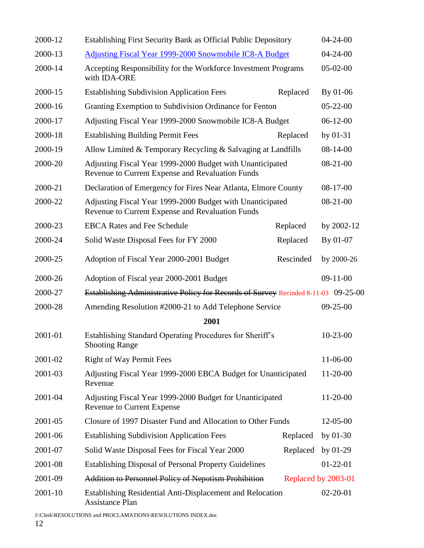| 2000-12 | Establishing First Security Bank as Official Public Depository                                                |           | $04 - 24 - 00$      |
|---------|---------------------------------------------------------------------------------------------------------------|-----------|---------------------|
| 2000-13 | <b>Adjusting Fiscal Year 1999-2000 Snowmobile IC8-A Budget</b>                                                |           | $04 - 24 - 00$      |
| 2000-14 | Accepting Responsibility for the Workforce Investment Programs<br>with IDA-ORE                                |           | $05-02-00$          |
| 2000-15 | <b>Establishing Subdivision Application Fees</b>                                                              | Replaced  | By 01-06            |
| 2000-16 | Granting Exemption to Subdivision Ordinance for Fenton                                                        |           | $05 - 22 - 00$      |
| 2000-17 | Adjusting Fiscal Year 1999-2000 Snowmobile IC8-A Budget                                                       |           | $06-12-00$          |
| 2000-18 | <b>Establishing Building Permit Fees</b>                                                                      | Replaced  | by 01-31            |
| 2000-19 | Allow Limited & Temporary Recycling & Salvaging at Landfills                                                  |           | $08-14-00$          |
| 2000-20 | Adjusting Fiscal Year 1999-2000 Budget with Unanticipated<br>Revenue to Current Expense and Revaluation Funds |           | $08-21-00$          |
| 2000-21 | Declaration of Emergency for Fires Near Atlanta, Elmore County                                                |           | $08-17-00$          |
| 2000-22 | Adjusting Fiscal Year 1999-2000 Budget with Unanticipated<br>Revenue to Current Expense and Revaluation Funds |           | $08-21-00$          |
| 2000-23 | <b>EBCA Rates and Fee Schedule</b>                                                                            | Replaced  | by 2002-12          |
| 2000-24 | Solid Waste Disposal Fees for FY 2000                                                                         | Replaced  | By 01-07            |
| 2000-25 | Adoption of Fiscal Year 2000-2001 Budget                                                                      | Rescinded | by 2000-26          |
| 2000-26 | Adoption of Fiscal year 2000-2001 Budget                                                                      |           | $09-11-00$          |
| 2000-27 | Establishing Administrative Policy for Records of Survey Recinded 8-11-03 09-25-00                            |           |                     |
| 2000-28 | Amending Resolution #2000-21 to Add Telephone Service                                                         |           | $09 - 25 - 00$      |
|         | 2001                                                                                                          |           |                     |
| 2001-01 | Establishing Standard Operating Procedures for Sheriff's<br><b>Shooting Range</b>                             |           | $10-23-00$          |
| 2001-02 | <b>Right of Way Permit Fees</b>                                                                               |           | 11-06-00            |
| 2001-03 | Adjusting Fiscal Year 1999-2000 EBCA Budget for Unanticipated<br>Revenue                                      |           | 11-20-00            |
| 2001-04 | Adjusting Fiscal Year 1999-2000 Budget for Unanticipated<br><b>Revenue to Current Expense</b>                 |           | $11-20-00$          |
| 2001-05 | Closure of 1997 Disaster Fund and Allocation to Other Funds                                                   |           | 12-05-00            |
| 2001-06 | <b>Establishing Subdivision Application Fees</b>                                                              | Replaced  | by $01-30$          |
| 2001-07 | Solid Waste Disposal Fees for Fiscal Year 2000                                                                | Replaced  | by $01-29$          |
| 2001-08 | <b>Establishing Disposal of Personal Property Guidelines</b>                                                  |           | $01-22-01$          |
| 2001-09 | <b>Addition to Personnel Policy of Nepotism Prohibition</b>                                                   |           | Replaced by 2003-01 |
| 2001-10 | Establishing Residential Anti-Displacement and Relocation<br><b>Assistance Plan</b>                           |           | $02 - 20 - 01$      |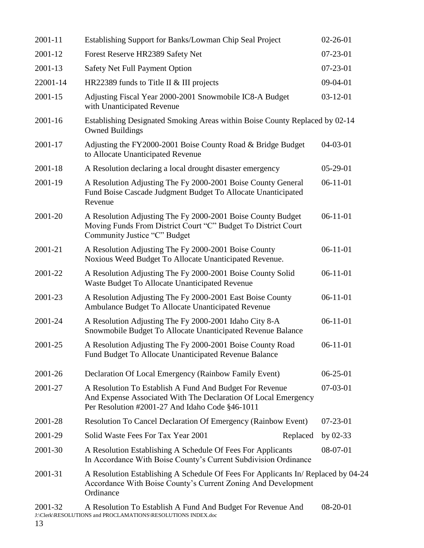| 2001-11  | Establishing Support for Banks/Lowman Chip Seal Project                                                                                                                      | $02 - 26 - 01$ |
|----------|------------------------------------------------------------------------------------------------------------------------------------------------------------------------------|----------------|
| 2001-12  | Forest Reserve HR2389 Safety Net                                                                                                                                             | $07 - 23 - 01$ |
| 2001-13  | Safety Net Full Payment Option                                                                                                                                               | 07-23-01       |
| 22001-14 | HR22389 funds to Title II & III projects                                                                                                                                     | 09-04-01       |
| 2001-15  | Adjusting Fiscal Year 2000-2001 Snowmobile IC8-A Budget<br>with Unanticipated Revenue                                                                                        | $03-12-01$     |
| 2001-16  | Establishing Designated Smoking Areas within Boise County Replaced by 02-14<br><b>Owned Buildings</b>                                                                        |                |
| 2001-17  | Adjusting the FY2000-2001 Boise County Road & Bridge Budget<br>to Allocate Unanticipated Revenue                                                                             | $04-03-01$     |
| 2001-18  | A Resolution declaring a local drought disaster emergency                                                                                                                    | $05-29-01$     |
| 2001-19  | A Resolution Adjusting The Fy 2000-2001 Boise County General<br>Fund Boise Cascade Judgment Budget To Allocate Unanticipated<br>Revenue                                      | $06-11-01$     |
| 2001-20  | A Resolution Adjusting The Fy 2000-2001 Boise County Budget<br>Moving Funds From District Court "C" Budget To District Court<br>Community Justice "C" Budget                 | $06-11-01$     |
| 2001-21  | A Resolution Adjusting The Fy 2000-2001 Boise County<br>Noxious Weed Budget To Allocate Unanticipated Revenue.                                                               | $06-11-01$     |
| 2001-22  | A Resolution Adjusting The Fy 2000-2001 Boise County Solid<br>Waste Budget To Allocate Unanticipated Revenue                                                                 | $06-11-01$     |
| 2001-23  | A Resolution Adjusting The Fy 2000-2001 East Boise County<br>Ambulance Budget To Allocate Unanticipated Revenue                                                              | $06-11-01$     |
| 2001-24  | A Resolution Adjusting The Fy 2000-2001 Idaho City 8-A<br>Snowmobile Budget To Allocate Unanticipated Revenue Balance                                                        | $06-11-01$     |
| 2001-25  | A Resolution Adjusting The Fy 2000-2001 Boise County Road<br>Fund Budget To Allocate Unanticipated Revenue Balance                                                           | $06-11-01$     |
| 2001-26  | Declaration Of Local Emergency (Rainbow Family Event)                                                                                                                        | $06 - 25 - 01$ |
| 2001-27  | A Resolution To Establish A Fund And Budget For Revenue<br>And Expense Associated With The Declaration Of Local Emergency<br>Per Resolution #2001-27 And Idaho Code §46-1011 | $07-03-01$     |
| 2001-28  | <b>Resolution To Cancel Declaration Of Emergency (Rainbow Event)</b>                                                                                                         | $07 - 23 - 01$ |
| 2001-29  | Solid Waste Fees For Tax Year 2001<br>Replaced                                                                                                                               | by $02-33$     |
| 2001-30  | A Resolution Establishing A Schedule Of Fees For Applicants<br>In Accordance With Boise County's Current Subdivision Ordinance                                               | 08-07-01       |
| 2001-31  | A Resolution Establishing A Schedule Of Fees For Applicants In/Replaced by 04-24<br>Accordance With Boise County's Current Zoning And Development<br>Ordinance               |                |
| 2001-32  | A Resolution To Establish A Fund And Budget For Revenue And                                                                                                                  | 08-20-01       |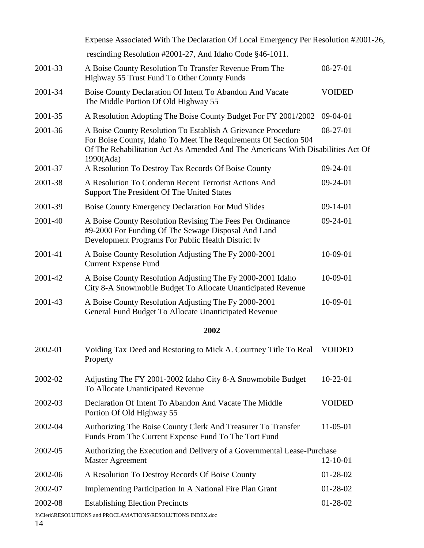|         | Expense Associated With The Declaration Of Local Emergency Per Resolution #2001-26,                                                                                                                                             |               |
|---------|---------------------------------------------------------------------------------------------------------------------------------------------------------------------------------------------------------------------------------|---------------|
|         | rescinding Resolution #2001-27, And Idaho Code §46-1011.                                                                                                                                                                        |               |
| 2001-33 | A Boise County Resolution To Transfer Revenue From The<br>Highway 55 Trust Fund To Other County Funds                                                                                                                           | $08-27-01$    |
| 2001-34 | Boise County Declaration Of Intent To Abandon And Vacate<br>The Middle Portion Of Old Highway 55                                                                                                                                | <b>VOIDED</b> |
| 2001-35 | A Resolution Adopting The Boise County Budget For FY 2001/2002                                                                                                                                                                  | $09-04-01$    |
| 2001-36 | A Boise County Resolution To Establish A Grievance Procedure<br>For Boise County, Idaho To Meet The Requirements Of Section 504<br>Of The Rehabilitation Act As Amended And The Americans With Disabilities Act Of<br>1990(Ada) | 08-27-01      |
| 2001-37 | A Resolution To Destroy Tax Records Of Boise County                                                                                                                                                                             | $09-24-01$    |
| 2001-38 | A Resolution To Condemn Recent Terrorist Actions And<br>Support The President Of The United States                                                                                                                              | 09-24-01      |
| 2001-39 | Boise County Emergency Declaration For Mud Slides                                                                                                                                                                               | $09-14-01$    |
| 2001-40 | A Boise County Resolution Revising The Fees Per Ordinance<br>#9-2000 For Funding Of The Sewage Disposal And Land<br>Development Programs For Public Health District Iv                                                          | $09-24-01$    |
| 2001-41 | A Boise County Resolution Adjusting The Fy 2000-2001<br><b>Current Expense Fund</b>                                                                                                                                             | 10-09-01      |
| 2001-42 | A Boise County Resolution Adjusting The Fy 2000-2001 Idaho<br>City 8-A Snowmobile Budget To Allocate Unanticipated Revenue                                                                                                      | 10-09-01      |
| 2001-43 | A Boise County Resolution Adjusting The Fy 2000-2001<br>General Fund Budget To Allocate Unanticipated Revenue                                                                                                                   | 10-09-01      |
|         | 2002                                                                                                                                                                                                                            |               |
| 2002-01 | Voiding Tax Deed and Restoring to Mick A. Courtney Title To Real<br>Property                                                                                                                                                    | <b>VOIDED</b> |
| 2002-02 | Adjusting The FY 2001-2002 Idaho City 8-A Snowmobile Budget<br>To Allocate Unanticipated Revenue                                                                                                                                | $10-22-01$    |
| 2002-03 | Declaration Of Intent To Abandon And Vacate The Middle<br>Portion Of Old Highway 55                                                                                                                                             | <b>VOIDED</b> |
| 2002-04 | Authorizing The Boise County Clerk And Treasurer To Transfer<br>Funds From The Current Expense Fund To The Tort Fund                                                                                                            | 11-05-01      |
| 2002-05 | Authorizing the Execution and Delivery of a Governmental Lease-Purchase<br><b>Master Agreement</b>                                                                                                                              | 12-10-01      |
| 2002-06 | A Resolution To Destroy Records Of Boise County                                                                                                                                                                                 | $01-28-02$    |
| 2002-07 | Implementing Participation In A National Fire Plan Grant                                                                                                                                                                        | $01-28-02$    |
| 2002-08 | <b>Establishing Election Precincts</b>                                                                                                                                                                                          | 01-28-02      |
|         | J:\Clerk\RESOLUTIONS and PROCLAMATIONS\RESOLUTIONS INDEX.doc                                                                                                                                                                    |               |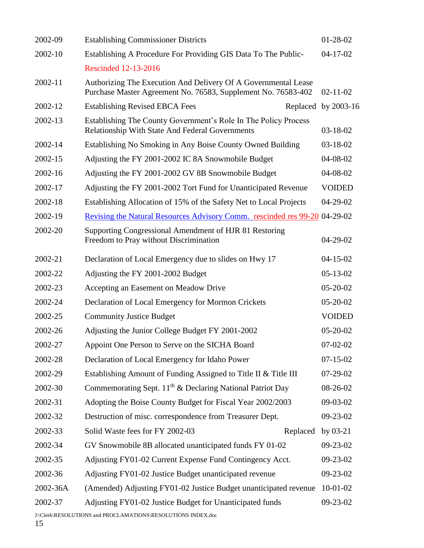| 2002-09  | <b>Establishing Commissioner Districts</b>                                                                                      | $01 - 28 - 02$      |
|----------|---------------------------------------------------------------------------------------------------------------------------------|---------------------|
| 2002-10  | Establishing A Procedure For Providing GIS Data To The Public-                                                                  | $04 - 17 - 02$      |
|          | Rescinded 12-13-2016                                                                                                            |                     |
| 2002-11  | Authorizing The Execution And Delivery Of A Governmental Lease<br>Purchase Master Agreement No. 76583, Supplement No. 76583-402 | $02 - 11 - 02$      |
| 2002-12  | <b>Establishing Revised EBCA Fees</b>                                                                                           | Replaced by 2003-16 |
| 2002-13  | Establishing The County Government's Role In The Policy Process<br><b>Relationship With State And Federal Governments</b>       | $03 - 18 - 02$      |
| 2002-14  | Establishing No Smoking in Any Boise County Owned Building                                                                      | 03-18-02            |
| 2002-15  | Adjusting the FY 2001-2002 IC 8A Snowmobile Budget                                                                              | 04-08-02            |
| 2002-16  | Adjusting the FY 2001-2002 GV 8B Snowmobile Budget                                                                              | 04-08-02            |
| 2002-17  | Adjusting the FY 2001-2002 Tort Fund for Unanticipated Revenue                                                                  | <b>VOIDED</b>       |
| 2002-18  | Establishing Allocation of 15% of the Safety Net to Local Projects                                                              | $04 - 29 - 02$      |
| 2002-19  | Revising the Natural Resources Advisory Comm. rescinded res 99-20 04-29-02                                                      |                     |
| 2002-20  | Supporting Congressional Amendment of HJR 81 Restoring<br>Freedom to Pray without Discrimination                                | $04 - 29 - 02$      |
| 2002-21  | Declaration of Local Emergency due to slides on Hwy 17                                                                          | $04 - 15 - 02$      |
| 2002-22  | Adjusting the FY 2001-2002 Budget                                                                                               | $05 - 13 - 02$      |
| 2002-23  | Accepting an Easement on Meadow Drive                                                                                           | $05 - 20 - 02$      |
| 2002-24  | Declaration of Local Emergency for Mormon Crickets                                                                              | $05 - 20 - 02$      |
| 2002-25  | <b>Community Justice Budget</b>                                                                                                 | <b>VOIDED</b>       |
| 2002-26  | Adjusting the Junior College Budget FY 2001-2002                                                                                | $05 - 20 - 02$      |
| 2002-27  | Appoint One Person to Serve on the SICHA Board                                                                                  | $07 - 02 - 02$      |
| 2002-28  | Declaration of Local Emergency for Idaho Power                                                                                  | $07 - 15 - 02$      |
| 2002-29  | Establishing Amount of Funding Assigned to Title II & Title III                                                                 | $07-29-02$          |
| 2002-30  | Commemorating Sept. 11 <sup>th</sup> & Declaring National Patriot Day                                                           | 08-26-02            |
| 2002-31  | Adopting the Boise County Budget for Fiscal Year 2002/2003                                                                      | 09-03-02            |
| 2002-32  | Destruction of misc. correspondence from Treasurer Dept.                                                                        | 09-23-02            |
| 2002-33  | Solid Waste fees for FY 2002-03<br>Replaced                                                                                     | by $03-21$          |
| 2002-34  | GV Snowmobile 8B allocated unanticipated funds FY 01-02                                                                         | 09-23-02            |
| 2002-35  | Adjusting FY01-02 Current Expense Fund Contingency Acct.                                                                        | 09-23-02            |
| 2002-36  | Adjusting FY01-02 Justice Budget unanticipated revenue                                                                          | 09-23-02            |
| 2002-36A | (Amended) Adjusting FY01-02 Justice Budget unanticipated revenue                                                                | $10-01-02$          |
| 2002-37  | Adjusting FY01-02 Justice Budget for Unanticipated funds                                                                        | 09-23-02            |
|          | J:\Clerk\RESOLUTIONS and PROCLAMATIONS\RESOLUTIONS INDEX.doc                                                                    |                     |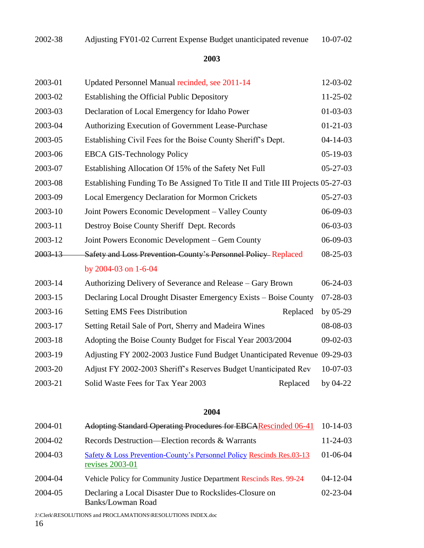| 2003-01 | Updated Personnel Manual recinded, see 2011-14                                  | 12-03-02       |
|---------|---------------------------------------------------------------------------------|----------------|
| 2003-02 | Establishing the Official Public Depository                                     | 11-25-02       |
| 2003-03 | Declaration of Local Emergency for Idaho Power                                  | $01 - 03 - 03$ |
| 2003-04 | Authorizing Execution of Government Lease-Purchase                              | $01 - 21 - 03$ |
| 2003-05 | Establishing Civil Fees for the Boise County Sheriff's Dept.                    | $04 - 14 - 03$ |
| 2003-06 | <b>EBCA GIS-Technology Policy</b>                                               | $05 - 19 - 03$ |
| 2003-07 | Establishing Allocation Of 15% of the Safety Net Full                           | $05 - 27 - 03$ |
| 2003-08 | Establishing Funding To Be Assigned To Title II and Title III Projects 05-27-03 |                |
| 2003-09 | <b>Local Emergency Declaration for Mormon Crickets</b>                          | $05 - 27 - 03$ |
| 2003-10 | Joint Powers Economic Development – Valley County                               | 06-09-03       |
| 2003-11 | Destroy Boise County Sheriff Dept. Records                                      | 06-03-03       |
| 2003-12 | Joint Powers Economic Development - Gem County                                  | 06-09-03       |
| 2003-13 | Safety and Loss Prevention-County's Personnel Policy-Replaced                   | $08 - 25 - 03$ |
|         | by 2004-03 on 1-6-04                                                            |                |
| 2003-14 | Authorizing Delivery of Severance and Release – Gary Brown                      | $06 - 24 - 03$ |
| 2003-15 | Declaring Local Drought Disaster Emergency Exists – Boise County                | $07 - 28 - 03$ |
| 2003-16 | <b>Setting EMS Fees Distribution</b><br>Replaced                                | by 05-29       |
| 2003-17 | Setting Retail Sale of Port, Sherry and Madeira Wines                           | 08-08-03       |
| 2003-18 | Adopting the Boise County Budget for Fiscal Year 2003/2004                      | $09-02-03$     |
| 2003-19 | Adjusting FY 2002-2003 Justice Fund Budget Unanticipated Revenue 09-29-03       |                |
| 2003-20 | Adjust FY 2002-2003 Sheriff's Reserves Budget Unanticipated Rev                 | 10-07-03       |
| 2003-21 | Solid Waste Fees for Tax Year 2003<br>Replaced                                  | by 04-22       |

#### **2004**

| 2004-01 | Adopting Standard Operating Procedures for EBCARescinded 06-41                           | $10-14-03$     |
|---------|------------------------------------------------------------------------------------------|----------------|
| 2004-02 | Records Destruction—Election records & Warrants                                          | $11 - 24 - 03$ |
| 2004-03 | Safety & Loss Prevention-County's Personnel Policy Rescinds Res.03-13<br>revises 2003-01 | $01 - 06 - 04$ |
| 2004-04 | Vehicle Policy for Community Justice Department Rescinds Res. 99-24                      | $04 - 12 - 04$ |
| 2004-05 | Declaring a Local Disaster Due to Rockslides-Closure on<br>Banks/Lowman Road             | $02 - 23 - 04$ |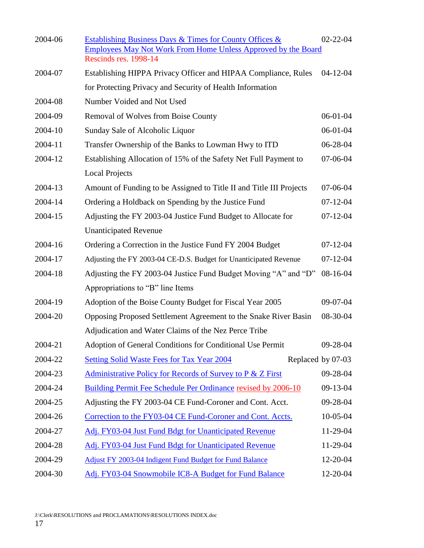| 2004-06 | Establishing Business Days & Times for County Offices &<br><b>Employees May Not Work From Home Unless Approved by the Board</b><br><b>Rescinds res. 1998-14</b> | $02 - 22 - 04$ |
|---------|-----------------------------------------------------------------------------------------------------------------------------------------------------------------|----------------|
| 2004-07 | Establishing HIPPA Privacy Officer and HIPAA Compliance, Rules                                                                                                  | $04 - 12 - 04$ |
|         | for Protecting Privacy and Security of Health Information                                                                                                       |                |
| 2004-08 | Number Voided and Not Used                                                                                                                                      |                |
| 2004-09 | Removal of Wolves from Boise County                                                                                                                             | 06-01-04       |
| 2004-10 | Sunday Sale of Alcoholic Liquor                                                                                                                                 | 06-01-04       |
| 2004-11 | Transfer Ownership of the Banks to Lowman Hwy to ITD                                                                                                            | 06-28-04       |
| 2004-12 | Establishing Allocation of 15% of the Safety Net Full Payment to                                                                                                | 07-06-04       |
|         | <b>Local Projects</b>                                                                                                                                           |                |
| 2004-13 | Amount of Funding to be Assigned to Title II and Title III Projects                                                                                             | $07-06-04$     |
| 2004-14 | Ordering a Holdback on Spending by the Justice Fund                                                                                                             | $07 - 12 - 04$ |
| 2004-15 | Adjusting the FY 2003-04 Justice Fund Budget to Allocate for                                                                                                    | $07 - 12 - 04$ |
|         | <b>Unanticipated Revenue</b>                                                                                                                                    |                |
| 2004-16 | Ordering a Correction in the Justice Fund FY 2004 Budget                                                                                                        | $07 - 12 - 04$ |
| 2004-17 | Adjusting the FY 2003-04 CE-D.S. Budget for Unanticipated Revenue                                                                                               | $07 - 12 - 04$ |
| 2004-18 | Adjusting the FY 2003-04 Justice Fund Budget Moving "A" and "D"                                                                                                 | 08-16-04       |
|         | Appropriations to "B" line Items                                                                                                                                |                |
| 2004-19 | Adoption of the Boise County Budget for Fiscal Year 2005                                                                                                        | $09-07-04$     |
| 2004-20 | Opposing Proposed Settlement Agreement to the Snake River Basin                                                                                                 | 08-30-04       |
|         | Adjudication and Water Claims of the Nez Perce Tribe                                                                                                            |                |
| 2004-21 | Adoption of General Conditions for Conditional Use Permit                                                                                                       | 09-28-04       |
| 2004-22 | Replaced by 07-03<br><b>Setting Solid Waste Fees for Tax Year 2004</b>                                                                                          |                |
| 2004-23 | <b>Administrative Policy for Records of Survey to P &amp; Z First</b>                                                                                           | 09-28-04       |
| 2004-24 | Building Permit Fee Schedule Per Ordinance revised by 2006-10                                                                                                   | 09-13-04       |
| 2004-25 | Adjusting the FY 2003-04 CE Fund-Coroner and Cont. Acct.                                                                                                        | 09-28-04       |
| 2004-26 | Correction to the FY03-04 CE Fund-Coroner and Cont. Accts.                                                                                                      | 10-05-04       |
| 2004-27 | Adj. FY03-04 Just Fund Bdgt for Unanticipated Revenue                                                                                                           | 11-29-04       |
| 2004-28 | Adj. FY03-04 Just Fund Bdgt for Unanticipated Revenue                                                                                                           | 11-29-04       |
| 2004-29 | <b>Adjust FY 2003-04 Indigent Fund Budget for Fund Balance</b>                                                                                                  | 12-20-04       |
| 2004-30 | Adj. FY03-04 Snowmobile IC8-A Budget for Fund Balance                                                                                                           | 12-20-04       |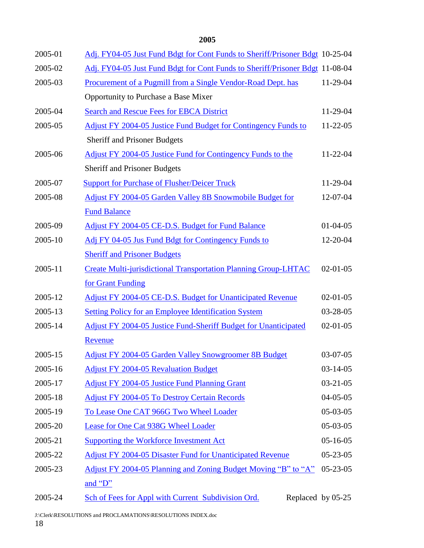| 2005-01 | Adj. FY04-05 Just Fund Bdgt for Cont Funds to Sheriff/Prisoner Bdgt 10-25-04 |                |
|---------|------------------------------------------------------------------------------|----------------|
| 2005-02 | Adj. FY04-05 Just Fund Bdgt for Cont Funds to Sheriff/Prisoner Bdgt 11-08-04 |                |
| 2005-03 | Procurement of a Pugmill from a Single Vendor-Road Dept. has                 | 11-29-04       |
|         | Opportunity to Purchase a Base Mixer                                         |                |
| 2005-04 | <b>Search and Rescue Fees for EBCA District</b>                              | 11-29-04       |
| 2005-05 | <b>Adjust FY 2004-05 Justice Fund Budget for Contingency Funds to</b>        | $11-22-05$     |
|         | <b>Sheriff and Prisoner Budgets</b>                                          |                |
| 2005-06 | <b>Adjust FY 2004-05 Justice Fund for Contingency Funds to the</b>           | $11-22-04$     |
|         | <b>Sheriff and Prisoner Budgets</b>                                          |                |
| 2005-07 | <b>Support for Purchase of Flusher/Deicer Truck</b>                          | 11-29-04       |
| 2005-08 | Adjust FY 2004-05 Garden Valley 8B Snowmobile Budget for                     | 12-07-04       |
|         | <b>Fund Balance</b>                                                          |                |
| 2005-09 | Adjust FY 2004-05 CE-D.S. Budget for Fund Balance                            | $01-04-05$     |
| 2005-10 | Adj FY 04-05 Jus Fund Bdgt for Contingency Funds to                          | 12-20-04       |
|         | <b>Sheriff and Prisoner Budgets</b>                                          |                |
| 2005-11 | <b>Create Multi-jurisdictional Transportation Planning Group-LHTAC</b>       | $02 - 01 - 05$ |
|         | for Grant Funding                                                            |                |
| 2005-12 | Adjust FY 2004-05 CE-D.S. Budget for Unanticipated Revenue                   | $02-01-05$     |
| 2005-13 | <b>Setting Policy for an Employee Identification System</b>                  | 03-28-05       |
| 2005-14 | <b>Adjust FY 2004-05 Justice Fund-Sheriff Budget for Unanticipated</b>       | $02-01-05$     |
|         | Revenue                                                                      |                |
| 2005-15 | <b>Adjust FY 2004-05 Garden Valley Snowgroomer 8B Budget</b>                 | $03-07-05$     |
| 2005-16 | <b>Adjust FY 2004-05 Revaluation Budget</b>                                  | $03-14-05$     |
| 2005-17 | <b>Adjust FY 2004-05 Justice Fund Planning Grant</b>                         | $03 - 21 - 05$ |
| 2005-18 | <b>Adjust FY 2004-05 To Destroy Certain Records</b>                          | $04 - 05 - 05$ |
| 2005-19 | To Lease One CAT 966G Two Wheel Loader                                       | 05-03-05       |
| 2005-20 | Lease for One Cat 938G Wheel Loader                                          | 05-03-05       |
| 2005-21 | <b>Supporting the Workforce Investment Act</b>                               | $05-16-05$     |
| 2005-22 | <b>Adjust FY 2004-05 Disaster Fund for Unanticipated Revenue</b>             | $05 - 23 - 05$ |
| 2005-23 | Adjust FY 2004-05 Planning and Zoning Budget Moving "B" to "A"               | $05 - 23 - 05$ |
|         | and $\mathbf{D}$ "                                                           |                |
| 2005-24 | Sch of Fees for Appl with Current Subdivision Ord.<br>Replaced by 05-25      |                |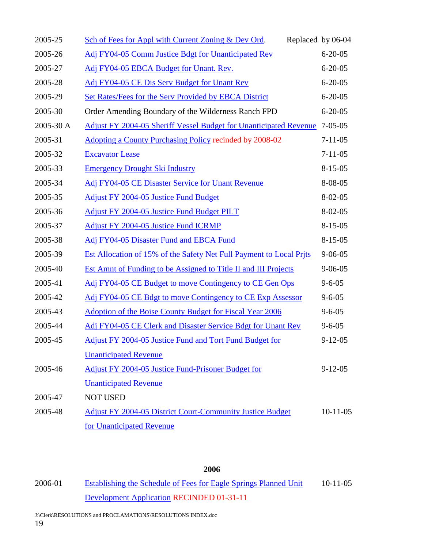| 2005-25   | Sch of Fees for Appl with Current Zoning & Dev Ord.<br>Replaced by 06-04 |                |
|-----------|--------------------------------------------------------------------------|----------------|
| 2005-26   | Adj FY04-05 Comm Justice Bdgt for Unanticipated Rev                      | $6 - 20 - 05$  |
| 2005-27   | Adj FY04-05 EBCA Budget for Unant. Rev.                                  | $6 - 20 - 05$  |
| 2005-28   | Adj FY04-05 CE Dis Serv Budget for Unant Rev                             | $6 - 20 - 05$  |
| 2005-29   | Set Rates/Fees for the Serv Provided by EBCA District                    | $6 - 20 - 05$  |
| 2005-30   | Order Amending Boundary of the Wilderness Ranch FPD                      | $6 - 20 - 05$  |
| 2005-30 A | Adjust FY 2004-05 Sheriff Vessel Budget for Unanticipated Revenue        | $7 - 05 - 05$  |
| 2005-31   | Adopting a County Purchasing Policy recinded by 2008-02                  | $7 - 11 - 05$  |
| 2005-32   | <b>Excavator Lease</b>                                                   | $7 - 11 - 05$  |
| 2005-33   | <b>Emergency Drought Ski Industry</b>                                    | $8 - 15 - 05$  |
| 2005-34   | Adj FY04-05 CE Disaster Service for Unant Revenue                        | 8-08-05        |
| 2005-35   | <b>Adjust FY 2004-05 Justice Fund Budget</b>                             | $8 - 02 - 05$  |
| 2005-36   | Adjust FY 2004-05 Justice Fund Budget PILT                               | $8 - 02 - 05$  |
| 2005-37   | <b>Adjust FY 2004-05 Justice Fund ICRMP</b>                              | $8 - 15 - 05$  |
| 2005-38   | Adj FY04-05 Disaster Fund and EBCA Fund                                  | $8 - 15 - 05$  |
| 2005-39   | Est Allocation of 15% of the Safety Net Full Payment to Local Prits      | $9 - 06 - 05$  |
| 2005-40   | Est Amnt of Funding to be Assigned to Title II and III Projects          | $9 - 06 - 05$  |
| 2005-41   | Adj FY04-05 CE Budget to move Contingency to CE Gen Ops                  | $9 - 6 - 05$   |
| 2005-42   | Adj FY04-05 CE Bdgt to move Contingency to CE Exp Assessor               | $9 - 6 - 05$   |
| 2005-43   | <b>Adoption of the Boise County Budget for Fiscal Year 2006</b>          | $9 - 6 - 05$   |
| 2005-44   | Adj FY04-05 CE Clerk and Disaster Service Bdgt for Unant Rev             | $9 - 6 - 05$   |
| 2005-45   | <b>Adjust FY 2004-05 Justice Fund and Tort Fund Budget for</b>           | $9 - 12 - 05$  |
|           | <b>Unanticipated Revenue</b>                                             |                |
| 2005-46   | Adjust FY 2004-05 Justice Fund-Prisoner Budget for                       | $9 - 12 - 05$  |
|           | <b>Unanticipated Revenue</b>                                             |                |
| 2005-47   | <b>NOT USED</b>                                                          |                |
| 2005-48   | <b>Adjust FY 2004-05 District Court-Community Justice Budget</b>         | $10 - 11 - 05$ |
|           | for Unanticipated Revenue                                                |                |

2006-01 [Establishing the Schedule of Fees for Eagle Springs Planned Unit](file://///6B-GIS01/common/Clerk/RESOLUTIONS/Resolutions%20FY%202006/Res%202006-01%20PUD%20FEES.doc) 10-11-05 [Development Application](file://///6B-GIS01/common/Clerk/RESOLUTIONS/Resolutions%20FY%202006/Res%202006-01%20PUD%20FEES.doc) RECINDED 01-31-11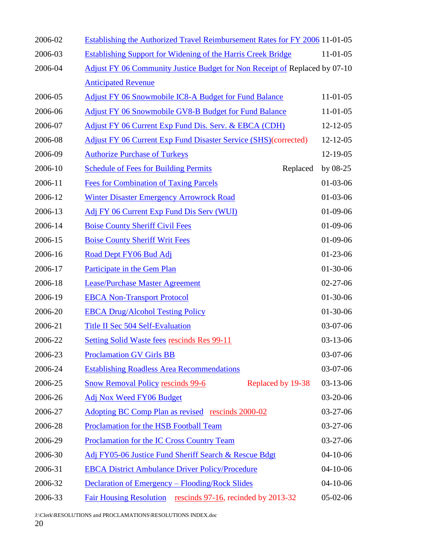| 2006-02 | <b>Establishing the Authorized Travel Reimbursement Rates for FY 2006 11-01-05</b> |                |
|---------|------------------------------------------------------------------------------------|----------------|
| 2006-03 | <b>Establishing Support for Widening of the Harris Creek Bridge</b>                | $11-01-05$     |
| 2006-04 | Adjust FY 06 Community Justice Budget for Non Receipt of Replaced by 07-10         |                |
|         | <b>Anticipated Revenue</b>                                                         |                |
| 2006-05 | <b>Adjust FY 06 Snowmobile IC8-A Budget for Fund Balance</b>                       | $11-01-05$     |
| 2006-06 | Adjust FY 06 Snowmobile GV8-B Budget for Fund Balance                              | 11-01-05       |
| 2006-07 | Adjust FY 06 Current Exp Fund Dis. Serv. & EBCA (CDH)                              | $12 - 12 - 05$ |
| 2006-08 | <b>Adjust FY 06 Current Exp Fund Disaster Service (SHS) (corrected)</b>            | 12-12-05       |
| 2006-09 | <b>Authorize Purchase of Turkeys</b>                                               | 12-19-05       |
| 2006-10 | <b>Schedule of Fees for Building Permits</b><br>Replaced                           | by $08-25$     |
| 2006-11 | <b>Fees for Combination of Taxing Parcels</b>                                      | $01-03-06$     |
| 2006-12 | <b>Winter Disaster Emergency Arrowrock Road</b>                                    | $01-03-06$     |
| 2006-13 | Adj FY 06 Current Exp Fund Dis Serv (WUI)                                          | $01-09-06$     |
| 2006-14 | <b>Boise County Sheriff Civil Fees</b>                                             | $01-09-06$     |
| 2006-15 | <b>Boise County Sheriff Writ Fees</b>                                              | $01-09-06$     |
| 2006-16 | Road Dept FY06 Bud Adj                                                             | $01-23-06$     |
| 2006-17 | Participate in the Gem Plan                                                        | $01-30-06$     |
| 2006-18 | <b>Lease/Purchase Master Agreement</b>                                             | $02 - 27 - 06$ |
| 2006-19 | <b>EBCA Non-Transport Protocol</b>                                                 | $01-30-06$     |
| 2006-20 | <b>EBCA Drug/Alcohol Testing Policy</b>                                            | $01-30-06$     |
| 2006-21 | <b>Title II Sec 504 Self-Evaluation</b>                                            | 03-07-06       |
| 2006-22 | <b>Setting Solid Waste fees rescinds Res 99-11</b>                                 | $03-13-06$     |
| 2006-23 | <b>Proclamation GV Girls BB</b>                                                    | 03-07-06       |
| 2006-24 | <b>Establishing Roadless Area Recommendations</b>                                  | 03-07-06       |
| 2006-25 | <b>Snow Removal Policy rescinds 99-6</b><br>Replaced by 19-38                      | $03-13-06$     |
| 2006-26 | Adj Nox Weed FY06 Budget                                                           | 03-20-06       |
| 2006-27 | Adopting BC Comp Plan as revised rescinds 2000-02                                  | $03-27-06$     |
| 2006-28 | Proclamation for the HSB Football Team                                             | $03-27-06$     |
| 2006-29 | Proclamation for the IC Cross Country Team                                         | 03-27-06       |
| 2006-30 | Adj FY05-06 Justice Fund Sheriff Search & Rescue Bdgt                              | $04-10-06$     |
| 2006-31 | <b>EBCA District Ambulance Driver Policy/Procedure</b>                             | $04-10-06$     |
| 2006-32 | Declaration of Emergency – Flooding/Rock Slides                                    | $04-10-06$     |
| 2006-33 | Fair Housing Resolution rescinds 97-16, recinded by 2013-32                        | $05-02-06$     |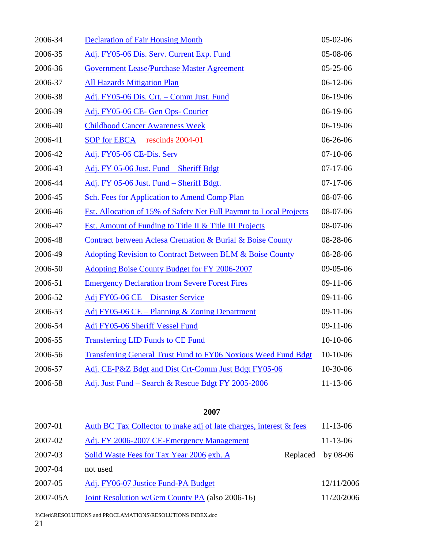| 2006-34 | <b>Declaration of Fair Housing Month</b>                              | $05-02-06$     |
|---------|-----------------------------------------------------------------------|----------------|
| 2006-35 | Adj. FY05-06 Dis. Serv. Current Exp. Fund                             | 05-08-06       |
| 2006-36 | <b>Government Lease/Purchase Master Agreement</b>                     | $05 - 25 - 06$ |
| 2006-37 | <b>All Hazards Mitigation Plan</b>                                    | $06-12-06$     |
| 2006-38 | Adj. FY05-06 Dis. Crt. - Comm Just. Fund                              | $06-19-06$     |
| 2006-39 | Adj. FY05-06 CE- Gen Ops- Courier                                     | $06-19-06$     |
| 2006-40 | <b>Childhood Cancer Awareness Week</b>                                | $06-19-06$     |
| 2006-41 | SOP for EBCA rescinds 2004-01                                         | 06-26-06       |
| 2006-42 | Adj. FY05-06 CE-Dis. Serv                                             | $07-10-06$     |
| 2006-43 | Adj. FY 05-06 Just. Fund - Sheriff Bdgt                               | $07-17-06$     |
| 2006-44 | Adj. FY 05-06 Just. Fund - Sheriff Bdgt.                              | $07-17-06$     |
| 2006-45 | Sch. Fees for Application to Amend Comp Plan                          | 08-07-06       |
| 2006-46 | Est. Allocation of 15% of Safety Net Full Paymnt to Local Projects    | 08-07-06       |
| 2006-47 | Est. Amount of Funding to Title II & Title III Projects               | 08-07-06       |
| 2006-48 | Contract between Aclesa Cremation & Burial & Boise County             | 08-28-06       |
| 2006-49 | <b>Adopting Revision to Contract Between BLM &amp; Boise County</b>   | 08-28-06       |
| 2006-50 | Adopting Boise County Budget for FY 2006-2007                         | $09-05-06$     |
| 2006-51 | <b>Emergency Declaration from Severe Forest Fires</b>                 | $09-11-06$     |
| 2006-52 | Adj FY05-06 CE – Disaster Service                                     | $09-11-06$     |
| 2006-53 | Adj FY05-06 CE – Planning & Zoning Department                         | $09-11-06$     |
| 2006-54 | Adj FY05-06 Sheriff Vessel Fund                                       | $09-11-06$     |
| 2006-55 | <b>Transferring LID Funds to CE Fund</b>                              | $10-10-06$     |
| 2006-56 | <b>Transferring General Trust Fund to FY06 Noxious Weed Fund Bdgt</b> | 10-10-06       |
| 2006-57 | Adj. CE-P&Z Bdgt and Dist Crt-Comm Just Bdgt FY05-06                  | 10-30-06       |
| 2006-58 | Adj. Just Fund - Search & Rescue Bdgt FY 2005-2006                    | $11 - 13 - 06$ |

| 2007-01  | Auth BC Tax Collector to make adj of late charges, interest & fees |          | $11 - 13 - 06$ |
|----------|--------------------------------------------------------------------|----------|----------------|
| 2007-02  | Adj. FY 2006-2007 CE-Emergency Management                          |          | $11 - 13 - 06$ |
| 2007-03  | Solid Waste Fees for Tax Year 2006 exh. A                          | Replaced | by $08-06$     |
| 2007-04  | not used                                                           |          |                |
| 2007-05  | Adj. FY06-07 Justice Fund-PA Budget                                |          | 12/11/2006     |
| 2007-05A | Joint Resolution w/Gem County PA (also 2006-16)                    |          | 11/20/2006     |

J:\Clerk\RESOLUTIONS and PROCLAMATIONS\RESOLUTIONS INDEX.doc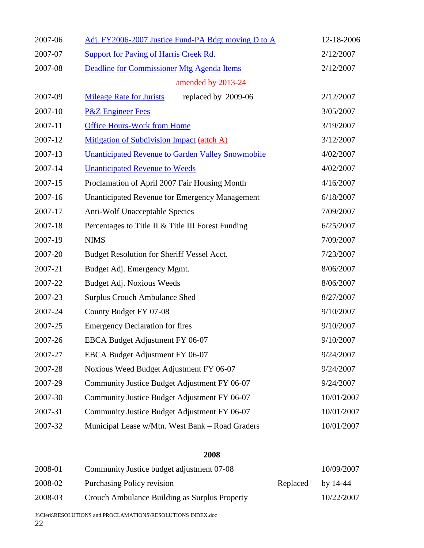| 2007-06 | Adj. FY2006-2007 Justice Fund-PA Bdgt moving D to A      | 12-18-2006 |
|---------|----------------------------------------------------------|------------|
| 2007-07 | <b>Support for Paving of Harris Creek Rd.</b>            | 2/12/2007  |
| 2007-08 | Deadline for Commissioner Mtg Agenda Items               | 2/12/2007  |
|         | amended by 2013-24                                       |            |
| 2007-09 | replaced by 2009-06<br><b>Mileage Rate for Jurists</b>   | 2/12/2007  |
| 2007-10 | <b>P&amp;Z</b> Engineer Fees                             | 3/05/2007  |
| 2007-11 | <b>Office Hours-Work from Home</b>                       | 3/19/2007  |
| 2007-12 | Mitigation of Subdivision Impact (attch A)               | 3/12/2007  |
| 2007-13 | <b>Unanticipated Revenue to Garden Valley Snowmobile</b> | 4/02/2007  |
| 2007-14 | <b>Unanticipated Revenue to Weeds</b>                    | 4/02/2007  |
| 2007-15 | Proclamation of April 2007 Fair Housing Month            | 4/16/2007  |
| 2007-16 | <b>Unanticipated Revenue for Emergency Management</b>    | 6/18/2007  |
| 2007-17 | Anti-Wolf Unacceptable Species                           | 7/09/2007  |
| 2007-18 | Percentages to Title II & Title III Forest Funding       | 6/25/2007  |
| 2007-19 | <b>NIMS</b>                                              | 7/09/2007  |
| 2007-20 | Budget Resolution for Sheriff Vessel Acct.               | 7/23/2007  |
| 2007-21 | Budget Adj. Emergency Mgmt.                              | 8/06/2007  |
| 2007-22 | Budget Adj. Noxious Weeds                                | 8/06/2007  |
| 2007-23 | <b>Surplus Crouch Ambulance Shed</b>                     | 8/27/2007  |
| 2007-24 | County Budget FY 07-08                                   | 9/10/2007  |
| 2007-25 | <b>Emergency Declaration for fires</b>                   | 9/10/2007  |
| 2007-26 | EBCA Budget Adjustment FY 06-07                          | 9/10/2007  |
| 2007-27 | EBCA Budget Adjustment FY 06-07                          | 9/24/2007  |
| 2007-28 | Noxious Weed Budget Adjustment FY 06-07                  | 9/24/2007  |
| 2007-29 | Community Justice Budget Adjustment FY 06-07             | 9/24/2007  |
| 2007-30 | Community Justice Budget Adjustment FY 06-07             | 10/01/2007 |
| 2007-31 | Community Justice Budget Adjustment FY 06-07             | 10/01/2007 |
| 2007-32 | Municipal Lease w/Mtn. West Bank - Road Graders          | 10/01/2007 |

| 2008-01 | Community Justice budget adjustment 07-08     |          | 10/09/2007 |
|---------|-----------------------------------------------|----------|------------|
| 2008-02 | Purchasing Policy revision                    | Replaced | by 14-44   |
| 2008-03 | Crouch Ambulance Building as Surplus Property |          | 10/22/2007 |

J:\Clerk\RESOLUTIONS and PROCLAMATIONS\RESOLUTIONS INDEX.doc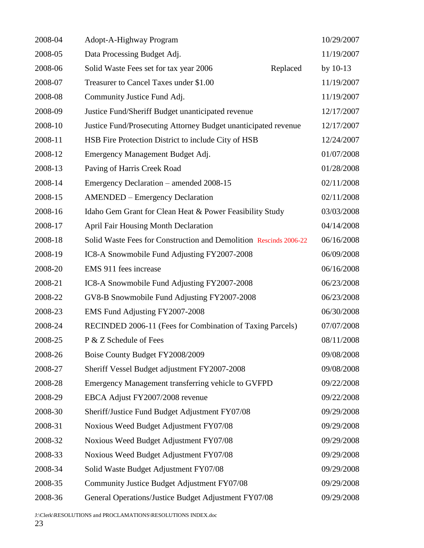| 2008-04 | Adopt-A-Highway Program                                           | 10/29/2007 |
|---------|-------------------------------------------------------------------|------------|
| 2008-05 | Data Processing Budget Adj.                                       | 11/19/2007 |
| 2008-06 | Replaced<br>Solid Waste Fees set for tax year 2006                | by $10-13$ |
| 2008-07 | Treasurer to Cancel Taxes under \$1.00                            | 11/19/2007 |
| 2008-08 | Community Justice Fund Adj.                                       | 11/19/2007 |
| 2008-09 | Justice Fund/Sheriff Budget unanticipated revenue                 | 12/17/2007 |
| 2008-10 | Justice Fund/Prosecuting Attorney Budget unanticipated revenue    | 12/17/2007 |
| 2008-11 | HSB Fire Protection District to include City of HSB               | 12/24/2007 |
| 2008-12 | Emergency Management Budget Adj.                                  | 01/07/2008 |
| 2008-13 | Paving of Harris Creek Road                                       | 01/28/2008 |
| 2008-14 | Emergency Declaration – amended 2008-15                           | 02/11/2008 |
| 2008-15 | <b>AMENDED</b> – Emergency Declaration                            | 02/11/2008 |
| 2008-16 | Idaho Gem Grant for Clean Heat & Power Feasibility Study          | 03/03/2008 |
| 2008-17 | <b>April Fair Housing Month Declaration</b>                       | 04/14/2008 |
| 2008-18 | Solid Waste Fees for Construction and Demolition Rescinds 2006-22 | 06/16/2008 |
| 2008-19 | IC8-A Snowmobile Fund Adjusting FY2007-2008                       | 06/09/2008 |
| 2008-20 | EMS 911 fees increase                                             | 06/16/2008 |
| 2008-21 | IC8-A Snowmobile Fund Adjusting FY2007-2008                       | 06/23/2008 |
| 2008-22 | GV8-B Snowmobile Fund Adjusting FY2007-2008                       | 06/23/2008 |
| 2008-23 | EMS Fund Adjusting FY2007-2008                                    | 06/30/2008 |
| 2008-24 | RECINDED 2006-11 (Fees for Combination of Taxing Parcels)         | 07/07/2008 |
| 2008-25 | P & Z Schedule of Fees                                            | 08/11/2008 |
| 2008-26 | Boise County Budget FY2008/2009                                   | 09/08/2008 |
| 2008-27 | Sheriff Vessel Budget adjustment FY2007-2008                      | 09/08/2008 |
| 2008-28 | Emergency Management transferring vehicle to GVFPD                | 09/22/2008 |
| 2008-29 | EBCA Adjust FY2007/2008 revenue                                   | 09/22/2008 |
| 2008-30 | Sheriff/Justice Fund Budget Adjustment FY07/08                    | 09/29/2008 |
| 2008-31 | Noxious Weed Budget Adjustment FY07/08                            | 09/29/2008 |
| 2008-32 | Noxious Weed Budget Adjustment FY07/08                            | 09/29/2008 |
| 2008-33 | Noxious Weed Budget Adjustment FY07/08                            | 09/29/2008 |
| 2008-34 | Solid Waste Budget Adjustment FY07/08                             | 09/29/2008 |
| 2008-35 | Community Justice Budget Adjustment FY07/08                       | 09/29/2008 |
| 2008-36 | General Operations/Justice Budget Adjustment FY07/08              | 09/29/2008 |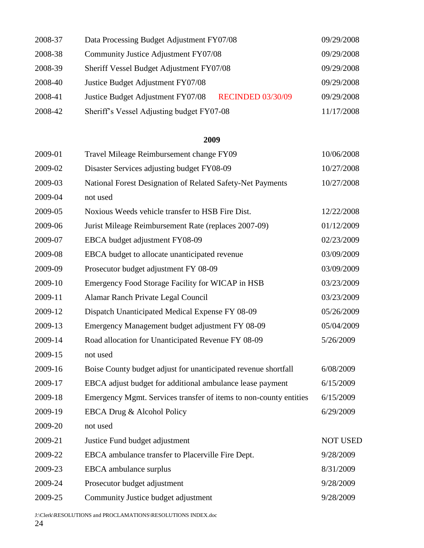| 2008-37 | Data Processing Budget Adjustment FY07/08                     | 09/29/2008 |
|---------|---------------------------------------------------------------|------------|
| 2008-38 | Community Justice Adjustment FY07/08                          | 09/29/2008 |
| 2008-39 | Sheriff Vessel Budget Adjustment FY07/08                      | 09/29/2008 |
| 2008-40 | Justice Budget Adjustment FY07/08                             | 09/29/2008 |
| 2008-41 | Justice Budget Adjustment FY07/08<br><b>RECINDED 03/30/09</b> | 09/29/2008 |
| 2008-42 | Sheriff's Vessel Adjusting budget FY07-08                     | 11/17/2008 |

| 2009-01 | Travel Mileage Reimbursement change FY09                          | 10/06/2008      |
|---------|-------------------------------------------------------------------|-----------------|
| 2009-02 | Disaster Services adjusting budget FY08-09                        | 10/27/2008      |
| 2009-03 | National Forest Designation of Related Safety-Net Payments        | 10/27/2008      |
| 2009-04 | not used                                                          |                 |
| 2009-05 | Noxious Weeds vehicle transfer to HSB Fire Dist.                  | 12/22/2008      |
| 2009-06 | Jurist Mileage Reimbursement Rate (replaces 2007-09)              | 01/12/2009      |
| 2009-07 | EBCA budget adjustment FY08-09                                    | 02/23/2009      |
| 2009-08 | EBCA budget to allocate unanticipated revenue                     | 03/09/2009      |
| 2009-09 | Prosecutor budget adjustment FY 08-09                             | 03/09/2009      |
| 2009-10 | Emergency Food Storage Facility for WICAP in HSB                  | 03/23/2009      |
| 2009-11 | Alamar Ranch Private Legal Council                                | 03/23/2009      |
| 2009-12 | Dispatch Unanticipated Medical Expense FY 08-09                   | 05/26/2009      |
| 2009-13 | Emergency Management budget adjustment FY 08-09                   | 05/04/2009      |
| 2009-14 | Road allocation for Unanticipated Revenue FY 08-09                | 5/26/2009       |
| 2009-15 | not used                                                          |                 |
| 2009-16 | Boise County budget adjust for unanticipated revenue shortfall    | 6/08/2009       |
| 2009-17 | EBCA adjust budget for additional ambulance lease payment         | 6/15/2009       |
| 2009-18 | Emergency Mgmt. Services transfer of items to non-county entities | 6/15/2009       |
| 2009-19 | EBCA Drug & Alcohol Policy                                        | 6/29/2009       |
| 2009-20 | not used                                                          |                 |
| 2009-21 | Justice Fund budget adjustment                                    | <b>NOT USED</b> |
| 2009-22 | EBCA ambulance transfer to Placerville Fire Dept.                 | 9/28/2009       |
| 2009-23 | EBCA ambulance surplus                                            | 8/31/2009       |
| 2009-24 | Prosecutor budget adjustment                                      | 9/28/2009       |
| 2009-25 | Community Justice budget adjustment                               | 9/28/2009       |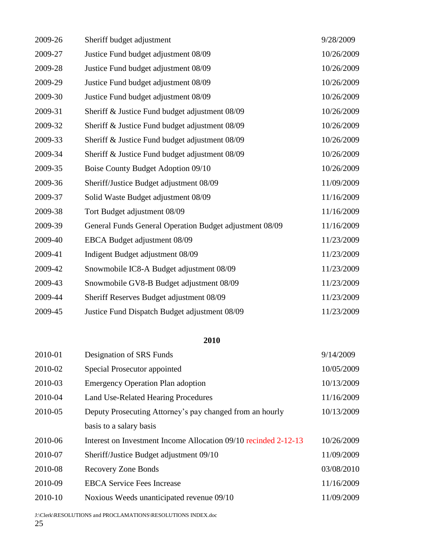| 2009-26 | Sheriff budget adjustment                               | 9/28/2009  |
|---------|---------------------------------------------------------|------------|
| 2009-27 | Justice Fund budget adjustment 08/09                    | 10/26/2009 |
| 2009-28 | Justice Fund budget adjustment 08/09                    | 10/26/2009 |
| 2009-29 | Justice Fund budget adjustment 08/09                    | 10/26/2009 |
| 2009-30 | Justice Fund budget adjustment 08/09                    | 10/26/2009 |
| 2009-31 | Sheriff & Justice Fund budget adjustment 08/09          | 10/26/2009 |
| 2009-32 | Sheriff & Justice Fund budget adjustment 08/09          | 10/26/2009 |
| 2009-33 | Sheriff & Justice Fund budget adjustment 08/09          | 10/26/2009 |
| 2009-34 | Sheriff & Justice Fund budget adjustment 08/09          | 10/26/2009 |
| 2009-35 | Boise County Budget Adoption 09/10                      | 10/26/2009 |
| 2009-36 | Sheriff/Justice Budget adjustment 08/09                 | 11/09/2009 |
| 2009-37 | Solid Waste Budget adjustment 08/09                     | 11/16/2009 |
| 2009-38 | Tort Budget adjustment 08/09                            | 11/16/2009 |
| 2009-39 | General Funds General Operation Budget adjustment 08/09 | 11/16/2009 |
| 2009-40 | EBCA Budget adjustment 08/09                            | 11/23/2009 |
| 2009-41 | Indigent Budget adjustment 08/09                        | 11/23/2009 |
| 2009-42 | Snowmobile IC8-A Budget adjustment 08/09                | 11/23/2009 |
| 2009-43 | Snowmobile GV8-B Budget adjustment 08/09                | 11/23/2009 |
| 2009-44 | Sheriff Reserves Budget adjustment 08/09                | 11/23/2009 |
| 2009-45 | Justice Fund Dispatch Budget adjustment 08/09           | 11/23/2009 |

| 2010-01 | Designation of SRS Funds                                        | 9/14/2009  |
|---------|-----------------------------------------------------------------|------------|
| 2010-02 | Special Prosecutor appointed                                    | 10/05/2009 |
| 2010-03 | <b>Emergency Operation Plan adoption</b>                        | 10/13/2009 |
| 2010-04 | Land Use-Related Hearing Procedures                             | 11/16/2009 |
| 2010-05 | Deputy Prosecuting Attorney's pay changed from an hourly        | 10/13/2009 |
|         | basis to a salary basis                                         |            |
| 2010-06 | Interest on Investment Income Allocation 09/10 recinded 2-12-13 | 10/26/2009 |
| 2010-07 | Sheriff/Justice Budget adjustment 09/10                         | 11/09/2009 |
| 2010-08 | <b>Recovery Zone Bonds</b>                                      | 03/08/2010 |
| 2010-09 | <b>EBCA</b> Service Fees Increase                               | 11/16/2009 |
| 2010-10 | Noxious Weeds unanticipated revenue 09/10                       | 11/09/2009 |

J:\Clerk\RESOLUTIONS and PROCLAMATIONS\RESOLUTIONS INDEX.doc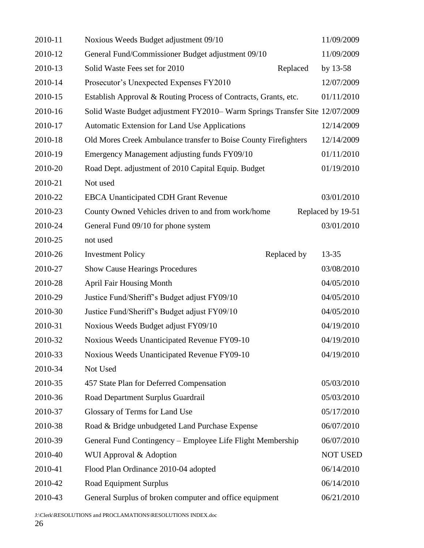| 2010-11 | Noxious Weeds Budget adjustment 09/10                                      | 11/09/2009        |
|---------|----------------------------------------------------------------------------|-------------------|
| 2010-12 | General Fund/Commissioner Budget adjustment 09/10                          | 11/09/2009        |
| 2010-13 | Solid Waste Fees set for 2010<br>Replaced                                  | by $13-58$        |
| 2010-14 | Prosecutor's Unexpected Expenses FY2010                                    | 12/07/2009        |
| 2010-15 | Establish Approval & Routing Process of Contracts, Grants, etc.            | 01/11/2010        |
| 2010-16 | Solid Waste Budget adjustment FY2010-Warm Springs Transfer Site 12/07/2009 |                   |
| 2010-17 | Automatic Extension for Land Use Applications                              | 12/14/2009        |
| 2010-18 | Old Mores Creek Ambulance transfer to Boise County Firefighters            | 12/14/2009        |
| 2010-19 | Emergency Management adjusting funds FY09/10                               | 01/11/2010        |
| 2010-20 | Road Dept. adjustment of 2010 Capital Equip. Budget                        | 01/19/2010        |
| 2010-21 | Not used                                                                   |                   |
| 2010-22 | <b>EBCA Unanticipated CDH Grant Revenue</b>                                | 03/01/2010        |
| 2010-23 | County Owned Vehicles driven to and from work/home                         | Replaced by 19-51 |
| 2010-24 | General Fund 09/10 for phone system                                        | 03/01/2010        |
| 2010-25 | not used                                                                   |                   |
| 2010-26 | <b>Investment Policy</b><br>Replaced by                                    | $13 - 35$         |
| 2010-27 | <b>Show Cause Hearings Procedures</b>                                      | 03/08/2010        |
| 2010-28 | <b>April Fair Housing Month</b>                                            | 04/05/2010        |
| 2010-29 | Justice Fund/Sheriff's Budget adjust FY09/10                               | 04/05/2010        |
| 2010-30 | Justice Fund/Sheriff's Budget adjust FY09/10                               | 04/05/2010        |
| 2010-31 | Noxious Weeds Budget adjust FY09/10                                        | 04/19/2010        |
| 2010-32 | Noxious Weeds Unanticipated Revenue FY09-10                                | 04/19/2010        |
| 2010-33 | Noxious Weeds Unanticipated Revenue FY09-10                                | 04/19/2010        |
| 2010-34 | Not Used                                                                   |                   |
| 2010-35 | 457 State Plan for Deferred Compensation                                   | 05/03/2010        |
| 2010-36 | Road Department Surplus Guardrail                                          | 05/03/2010        |
| 2010-37 | Glossary of Terms for Land Use                                             | 05/17/2010        |
| 2010-38 | Road & Bridge unbudgeted Land Purchase Expense                             | 06/07/2010        |
| 2010-39 | General Fund Contingency – Employee Life Flight Membership                 | 06/07/2010        |
| 2010-40 | WUI Approval & Adoption                                                    | <b>NOT USED</b>   |
| 2010-41 | Flood Plan Ordinance 2010-04 adopted                                       | 06/14/2010        |
| 2010-42 | Road Equipment Surplus                                                     | 06/14/2010        |
| 2010-43 | General Surplus of broken computer and office equipment                    | 06/21/2010        |
|         |                                                                            |                   |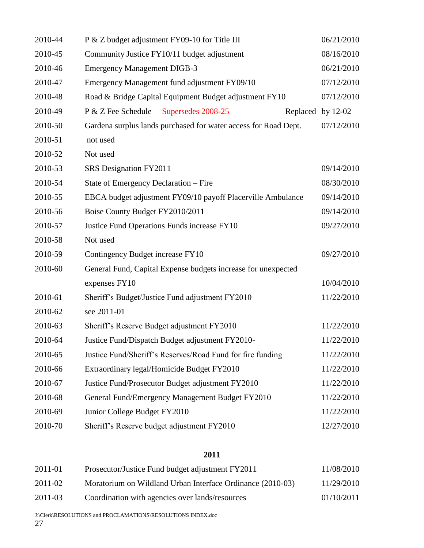| 2010-44 | P & Z budget adjustment FY09-10 for Title III                   | 06/21/2010 |
|---------|-----------------------------------------------------------------|------------|
| 2010-45 | Community Justice FY10/11 budget adjustment                     | 08/16/2010 |
| 2010-46 | <b>Emergency Management DIGB-3</b>                              | 06/21/2010 |
| 2010-47 | Emergency Management fund adjustment FY09/10                    | 07/12/2010 |
| 2010-48 | Road & Bridge Capital Equipment Budget adjustment FY10          | 07/12/2010 |
| 2010-49 | P & Z Fee Schedule<br>Supersedes 2008-25<br>Replaced by 12-02   |            |
| 2010-50 | Gardena surplus lands purchased for water access for Road Dept. | 07/12/2010 |
| 2010-51 | not used                                                        |            |
| 2010-52 | Not used                                                        |            |
| 2010-53 | SRS Designation FY2011                                          | 09/14/2010 |
| 2010-54 | State of Emergency Declaration – Fire                           | 08/30/2010 |
| 2010-55 | EBCA budget adjustment FY09/10 payoff Placerville Ambulance     | 09/14/2010 |
| 2010-56 | Boise County Budget FY2010/2011                                 | 09/14/2010 |
| 2010-57 | Justice Fund Operations Funds increase FY10                     | 09/27/2010 |
| 2010-58 | Not used                                                        |            |
| 2010-59 | Contingency Budget increase FY10                                | 09/27/2010 |
| 2010-60 | General Fund, Capital Expense budgets increase for unexpected   |            |
|         | expenses FY10                                                   | 10/04/2010 |
| 2010-61 | Sheriff's Budget/Justice Fund adjustment FY2010                 | 11/22/2010 |
| 2010-62 | see 2011-01                                                     |            |
| 2010-63 | Sheriff's Reserve Budget adjustment FY2010                      | 11/22/2010 |
| 2010-64 | Justice Fund/Dispatch Budget adjustment FY2010-                 | 11/22/2010 |
| 2010-65 | Justice Fund/Sheriff's Reserves/Road Fund for fire funding      | 11/22/2010 |
| 2010-66 | Extraordinary legal/Homicide Budget FY2010                      | 11/22/2010 |
| 2010-67 | Justice Fund/Prosecutor Budget adjustment FY2010                | 11/22/2010 |
| 2010-68 | General Fund/Emergency Management Budget FY2010                 | 11/22/2010 |
| 2010-69 | Junior College Budget FY2010                                    | 11/22/2010 |
| 2010-70 | Sheriff's Reserve budget adjustment FY2010                      | 12/27/2010 |

| 2011-01 | Prosecutor/Justice Fund budget adjustment FY2011           | 11/08/2010 |
|---------|------------------------------------------------------------|------------|
| 2011-02 | Moratorium on Wildland Urban Interface Ordinance (2010-03) | 11/29/2010 |
| 2011-03 | Coordination with agencies over lands/resources            | 01/10/2011 |

J:\Clerk\RESOLUTIONS and PROCLAMATIONS\RESOLUTIONS INDEX.doc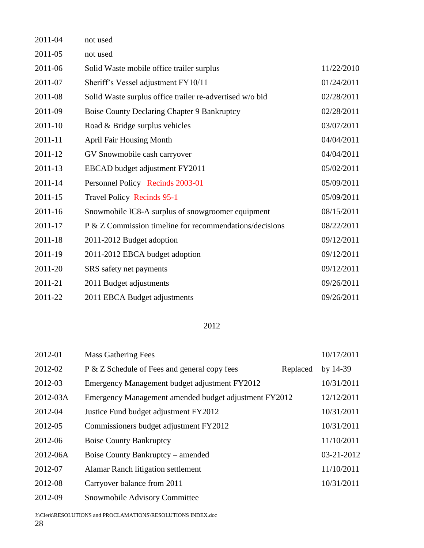| 2011-04     | not used                                                 |            |
|-------------|----------------------------------------------------------|------------|
| 2011-05     | not used                                                 |            |
| 2011-06     | Solid Waste mobile office trailer surplus                | 11/22/2010 |
| 2011-07     | Sheriff's Vessel adjustment FY10/11                      | 01/24/2011 |
| 2011-08     | Solid Waste surplus office trailer re-advertised w/o bid | 02/28/2011 |
| 2011-09     | <b>Boise County Declaring Chapter 9 Bankruptcy</b>       | 02/28/2011 |
| $2011 - 10$ | Road & Bridge surplus vehicles                           | 03/07/2011 |
| 2011-11     | <b>April Fair Housing Month</b>                          | 04/04/2011 |
| 2011-12     | GV Snowmobile cash carryover                             | 04/04/2011 |
| 2011-13     | EBCAD budget adjustment FY2011                           | 05/02/2011 |
| 2011-14     | Personnel Policy Recinds 2003-01                         | 05/09/2011 |
| 2011-15     | <b>Travel Policy Recinds 95-1</b>                        | 05/09/2011 |
| 2011-16     | Snowmobile IC8-A surplus of snowgroomer equipment        | 08/15/2011 |
| 2011-17     | P & Z Commission timeline for recommendations/decisions  | 08/22/2011 |
| 2011-18     | 2011-2012 Budget adoption                                | 09/12/2011 |
| 2011-19     | 2011-2012 EBCA budget adoption                           | 09/12/2011 |
| 2011-20     | SRS safety net payments                                  | 09/12/2011 |
| 2011-21     | 2011 Budget adjustments                                  | 09/26/2011 |
| 2011-22     | 2011 EBCA Budget adjustments                             | 09/26/2011 |

| 2012-01  | <b>Mass Gathering Fees</b>                            |          | 10/17/2011 |
|----------|-------------------------------------------------------|----------|------------|
| 2012-02  | P & Z Schedule of Fees and general copy fees          | Replaced | by $14-39$ |
| 2012-03  | Emergency Management budget adjustment FY2012         |          | 10/31/2011 |
| 2012-03A | Emergency Management amended budget adjustment FY2012 |          | 12/12/2011 |
| 2012-04  | Justice Fund budget adjustment FY2012                 |          | 10/31/2011 |
| 2012-05  | Commissioners budget adjustment FY2012                |          | 10/31/2011 |
| 2012-06  | <b>Boise County Bankruptcy</b>                        |          | 11/10/2011 |
| 2012-06A | Boise County Bankruptcy – amended                     |          | 03-21-2012 |
| 2012-07  | <b>Alamar Ranch litigation settlement</b>             |          | 11/10/2011 |
| 2012-08  | Carryover balance from 2011                           |          | 10/31/2011 |
| 2012-09  | Snowmobile Advisory Committee                         |          |            |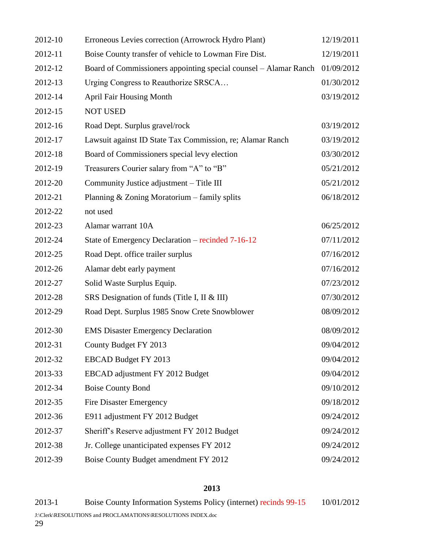| 2012-10 | Erroneous Levies correction (Arrowrock Hydro Plant)              | 12/19/2011 |
|---------|------------------------------------------------------------------|------------|
| 2012-11 | Boise County transfer of vehicle to Lowman Fire Dist.            | 12/19/2011 |
| 2012-12 | Board of Commissioners appointing special counsel – Alamar Ranch | 01/09/2012 |
| 2012-13 | Urging Congress to Reauthorize SRSCA                             | 01/30/2012 |
| 2012-14 | <b>April Fair Housing Month</b>                                  | 03/19/2012 |
| 2012-15 | <b>NOT USED</b>                                                  |            |
| 2012-16 | Road Dept. Surplus gravel/rock                                   | 03/19/2012 |
| 2012-17 | Lawsuit against ID State Tax Commission, re; Alamar Ranch        | 03/19/2012 |
| 2012-18 | Board of Commissioners special levy election                     | 03/30/2012 |
| 2012-19 | Treasurers Courier salary from "A" to "B"                        | 05/21/2012 |
| 2012-20 | Community Justice adjustment - Title III                         | 05/21/2012 |
| 2012-21 | Planning & Zoning Moratorium - family splits                     | 06/18/2012 |
| 2012-22 | not used                                                         |            |
| 2012-23 | Alamar warrant 10A                                               | 06/25/2012 |
| 2012-24 | State of Emergency Declaration – recinded 7-16-12                | 07/11/2012 |
| 2012-25 | Road Dept. office trailer surplus                                | 07/16/2012 |
| 2012-26 | Alamar debt early payment                                        | 07/16/2012 |
| 2012-27 | Solid Waste Surplus Equip.                                       | 07/23/2012 |
| 2012-28 | SRS Designation of funds (Title I, II & III)                     | 07/30/2012 |
| 2012-29 | Road Dept. Surplus 1985 Snow Crete Snowblower                    | 08/09/2012 |
| 2012-30 | <b>EMS Disaster Emergency Declaration</b>                        | 08/09/2012 |
| 2012-31 | County Budget FY 2013                                            | 09/04/2012 |
| 2012-32 | EBCAD Budget FY 2013                                             | 09/04/2012 |
| 2013-33 | EBCAD adjustment FY 2012 Budget                                  | 09/04/2012 |
| 2012-34 | <b>Boise County Bond</b>                                         | 09/10/2012 |
| 2012-35 | <b>Fire Disaster Emergency</b>                                   | 09/18/2012 |
| 2012-36 | E911 adjustment FY 2012 Budget                                   | 09/24/2012 |
| 2012-37 | Sheriff's Reserve adjustment FY 2012 Budget                      | 09/24/2012 |
| 2012-38 | Jr. College unanticipated expenses FY 2012                       | 09/24/2012 |
| 2012-39 | Boise County Budget amendment FY 2012                            | 09/24/2012 |

2013-1 Boise County Information Systems Policy (internet) recinds 99-15 10/01/2012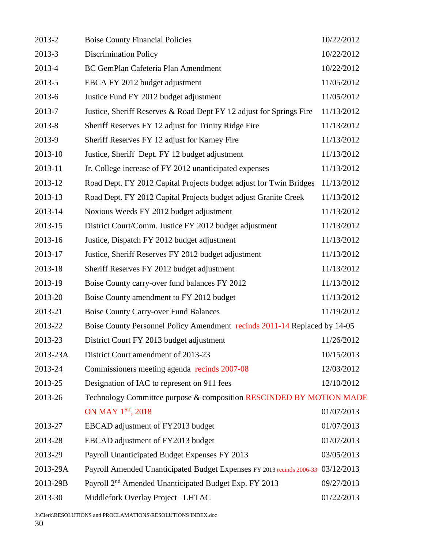| 2013-2   | <b>Boise County Financial Policies</b>                                           | 10/22/2012 |
|----------|----------------------------------------------------------------------------------|------------|
| 2013-3   | <b>Discrimination Policy</b>                                                     | 10/22/2012 |
| 2013-4   | BC GemPlan Cafeteria Plan Amendment                                              | 10/22/2012 |
| 2013-5   | EBCA FY 2012 budget adjustment                                                   | 11/05/2012 |
| 2013-6   | Justice Fund FY 2012 budget adjustment                                           | 11/05/2012 |
| 2013-7   | Justice, Sheriff Reserves & Road Dept FY 12 adjust for Springs Fire              | 11/13/2012 |
| 2013-8   | Sheriff Reserves FY 12 adjust for Trinity Ridge Fire                             | 11/13/2012 |
| 2013-9   | Sheriff Reserves FY 12 adjust for Karney Fire                                    | 11/13/2012 |
| 2013-10  | Justice, Sheriff Dept. FY 12 budget adjustment                                   | 11/13/2012 |
| 2013-11  | Jr. College increase of FY 2012 unanticipated expenses                           | 11/13/2012 |
| 2013-12  | Road Dept. FY 2012 Capital Projects budget adjust for Twin Bridges               | 11/13/2012 |
| 2013-13  | Road Dept. FY 2012 Capital Projects budget adjust Granite Creek                  | 11/13/2012 |
| 2013-14  | Noxious Weeds FY 2012 budget adjustment                                          | 11/13/2012 |
| 2013-15  | District Court/Comm. Justice FY 2012 budget adjustment                           | 11/13/2012 |
| 2013-16  | Justice, Dispatch FY 2012 budget adjustment                                      | 11/13/2012 |
| 2013-17  | Justice, Sheriff Reserves FY 2012 budget adjustment                              | 11/13/2012 |
| 2013-18  | Sheriff Reserves FY 2012 budget adjustment                                       | 11/13/2012 |
| 2013-19  | Boise County carry-over fund balances FY 2012                                    | 11/13/2012 |
| 2013-20  | Boise County amendment to FY 2012 budget                                         | 11/13/2012 |
| 2013-21  | <b>Boise County Carry-over Fund Balances</b>                                     | 11/19/2012 |
| 2013-22  | Boise County Personnel Policy Amendment recinds 2011-14 Replaced by 14-05        |            |
| 2013-23  | District Court FY 2013 budget adjustment                                         | 11/26/2012 |
| 2013-23A | District Court amendment of 2013-23                                              | 10/15/2013 |
| 2013-24  | Commissioners meeting agenda recinds 2007-08                                     | 12/03/2012 |
| 2013-25  | Designation of IAC to represent on 911 fees                                      | 12/10/2012 |
| 2013-26  | Technology Committee purpose & composition RESCINDED BY MOTION MADE              |            |
|          | ON MAY 1ST, 2018                                                                 | 01/07/2013 |
| 2013-27  | EBCAD adjustment of FY2013 budget                                                | 01/07/2013 |
| 2013-28  | EBCAD adjustment of FY2013 budget                                                | 01/07/2013 |
| 2013-29  | Payroll Unanticipated Budget Expenses FY 2013                                    | 03/05/2013 |
| 2013-29A | Payroll Amended Unanticipated Budget Expenses FY 2013 recinds 2006-33 03/12/2013 |            |
| 2013-29B | Payroll 2 <sup>nd</sup> Amended Unanticipated Budget Exp. FY 2013                | 09/27/2013 |
| 2013-30  | Middlefork Overlay Project-LHTAC                                                 | 01/22/2013 |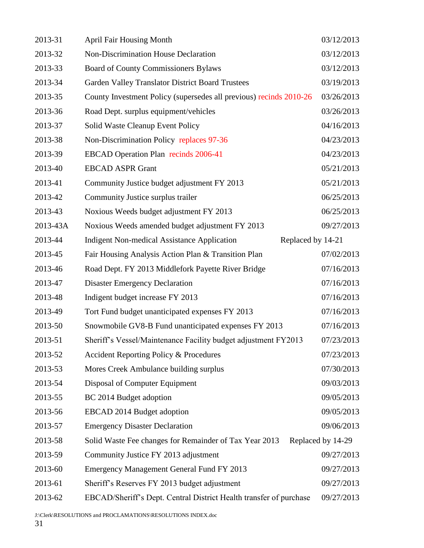| 2013-31  | <b>April Fair Housing Month</b>                                         | 03/12/2013        |
|----------|-------------------------------------------------------------------------|-------------------|
| 2013-32  | Non-Discrimination House Declaration                                    | 03/12/2013        |
| 2013-33  | <b>Board of County Commissioners Bylaws</b>                             | 03/12/2013        |
| 2013-34  | <b>Garden Valley Translator District Board Trustees</b>                 | 03/19/2013        |
| 2013-35  | County Investment Policy (supersedes all previous) recinds 2010-26      | 03/26/2013        |
| 2013-36  | Road Dept. surplus equipment/vehicles                                   | 03/26/2013        |
| 2013-37  | Solid Waste Cleanup Event Policy                                        | 04/16/2013        |
| 2013-38  | Non-Discrimination Policy replaces 97-36                                | 04/23/2013        |
| 2013-39  | EBCAD Operation Plan recinds 2006-41                                    | 04/23/2013        |
| 2013-40  | <b>EBCAD ASPR Grant</b>                                                 | 05/21/2013        |
| 2013-41  | Community Justice budget adjustment FY 2013                             | 05/21/2013        |
| 2013-42  | Community Justice surplus trailer                                       | 06/25/2013        |
| 2013-43  | Noxious Weeds budget adjustment FY 2013                                 | 06/25/2013        |
| 2013-43A | Noxious Weeds amended budget adjustment FY 2013                         | 09/27/2013        |
| 2013-44  | Replaced by 14-21<br><b>Indigent Non-medical Assistance Application</b> |                   |
| 2013-45  | Fair Housing Analysis Action Plan & Transition Plan                     | 07/02/2013        |
| 2013-46  | Road Dept. FY 2013 Middlefork Payette River Bridge                      | 07/16/2013        |
| 2013-47  | <b>Disaster Emergency Declaration</b>                                   | 07/16/2013        |
| 2013-48  | Indigent budget increase FY 2013                                        | 07/16/2013        |
| 2013-49  | Tort Fund budget unanticipated expenses FY 2013                         | 07/16/2013        |
| 2013-50  | Snowmobile GV8-B Fund unanticipated expenses FY 2013                    | 07/16/2013        |
| 2013-51  | Sheriff's Vessel/Maintenance Facility budget adjustment FY2013          | 07/23/2013        |
| 2013-52  | <b>Accident Reporting Policy &amp; Procedures</b>                       | 07/23/2013        |
| 2013-53  | Mores Creek Ambulance building surplus                                  | 07/30/2013        |
| 2013-54  | Disposal of Computer Equipment                                          | 09/03/2013        |
| 2013-55  | BC 2014 Budget adoption                                                 | 09/05/2013        |
| 2013-56  | EBCAD 2014 Budget adoption                                              | 09/05/2013        |
| 2013-57  | <b>Emergency Disaster Declaration</b>                                   | 09/06/2013        |
| 2013-58  | Solid Waste Fee changes for Remainder of Tax Year 2013                  | Replaced by 14-29 |
| 2013-59  | Community Justice FY 2013 adjustment                                    | 09/27/2013        |
| 2013-60  | <b>Emergency Management General Fund FY 2013</b>                        | 09/27/2013        |
| 2013-61  | Sheriff's Reserves FY 2013 budget adjustment                            | 09/27/2013        |
| 2013-62  | EBCAD/Sheriff's Dept. Central District Health transfer of purchase      | 09/27/2013        |
|          |                                                                         |                   |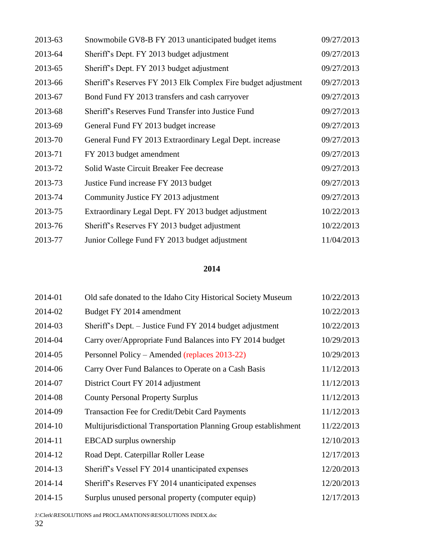| 2013-63 | Snowmobile GV8-B FY 2013 unanticipated budget items           | 09/27/2013 |
|---------|---------------------------------------------------------------|------------|
| 2013-64 | Sheriff's Dept. FY 2013 budget adjustment                     | 09/27/2013 |
| 2013-65 | Sheriff's Dept. FY 2013 budget adjustment                     | 09/27/2013 |
| 2013-66 | Sheriff's Reserves FY 2013 Elk Complex Fire budget adjustment | 09/27/2013 |
| 2013-67 | Bond Fund FY 2013 transfers and cash carryover                | 09/27/2013 |
| 2013-68 | Sheriff's Reserves Fund Transfer into Justice Fund            | 09/27/2013 |
| 2013-69 | General Fund FY 2013 budget increase                          | 09/27/2013 |
| 2013-70 | General Fund FY 2013 Extraordinary Legal Dept. increase       | 09/27/2013 |
| 2013-71 | FY 2013 budget amendment                                      | 09/27/2013 |
| 2013-72 | Solid Waste Circuit Breaker Fee decrease                      | 09/27/2013 |
| 2013-73 | Justice Fund increase FY 2013 budget                          | 09/27/2013 |
| 2013-74 | Community Justice FY 2013 adjustment                          | 09/27/2013 |
| 2013-75 | Extraordinary Legal Dept. FY 2013 budget adjustment           | 10/22/2013 |
| 2013-76 | Sheriff's Reserves FY 2013 budget adjustment                  | 10/22/2013 |
| 2013-77 | Junior College Fund FY 2013 budget adjustment                 | 11/04/2013 |

| 2014-01 | Old safe donated to the Idaho City Historical Society Museum    | 10/22/2013 |
|---------|-----------------------------------------------------------------|------------|
| 2014-02 | Budget FY 2014 amendment                                        | 10/22/2013 |
| 2014-03 | Sheriff's Dept. – Justice Fund FY 2014 budget adjustment        | 10/22/2013 |
| 2014-04 | Carry over/Appropriate Fund Balances into FY 2014 budget        | 10/29/2013 |
| 2014-05 | Personnel Policy – Amended (replaces 2013-22)                   | 10/29/2013 |
| 2014-06 | Carry Over Fund Balances to Operate on a Cash Basis             | 11/12/2013 |
| 2014-07 | District Court FY 2014 adjustment                               | 11/12/2013 |
| 2014-08 | <b>County Personal Property Surplus</b>                         | 11/12/2013 |
| 2014-09 | Transaction Fee for Credit/Debit Card Payments                  | 11/12/2013 |
| 2014-10 | Multijurisdictional Transportation Planning Group establishment | 11/22/2013 |
| 2014-11 | EBCAD surplus ownership                                         | 12/10/2013 |
| 2014-12 | Road Dept. Caterpillar Roller Lease                             | 12/17/2013 |
| 2014-13 | Sheriff's Vessel FY 2014 unanticipated expenses                 | 12/20/2013 |
| 2014-14 | Sheriff's Reserves FY 2014 unanticipated expenses               | 12/20/2013 |
| 2014-15 | Surplus unused personal property (computer equip)               | 12/17/2013 |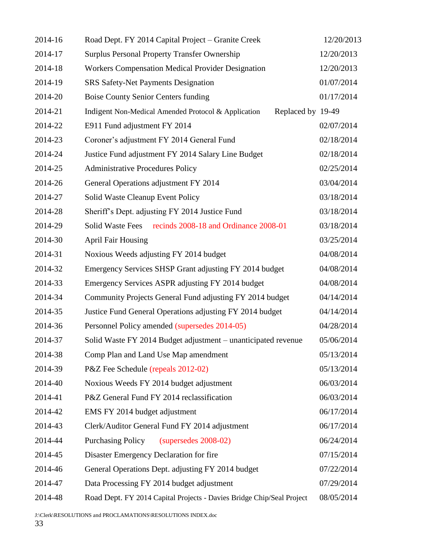| 2014-16 | Road Dept. FY 2014 Capital Project – Granite Creek                       | 12/20/2013 |
|---------|--------------------------------------------------------------------------|------------|
| 2014-17 | <b>Surplus Personal Property Transfer Ownership</b>                      | 12/20/2013 |
| 2014-18 | <b>Workers Compensation Medical Provider Designation</b>                 | 12/20/2013 |
| 2014-19 | <b>SRS Safety-Net Payments Designation</b>                               | 01/07/2014 |
| 2014-20 | <b>Boise County Senior Centers funding</b>                               | 01/17/2014 |
| 2014-21 | Indigent Non-Medical Amended Protocol & Application<br>Replaced by 19-49 |            |
| 2014-22 | E911 Fund adjustment FY 2014                                             | 02/07/2014 |
| 2014-23 | Coroner's adjustment FY 2014 General Fund                                | 02/18/2014 |
| 2014-24 | Justice Fund adjustment FY 2014 Salary Line Budget                       | 02/18/2014 |
| 2014-25 | <b>Administrative Procedures Policy</b>                                  | 02/25/2014 |
| 2014-26 | General Operations adjustment FY 2014                                    | 03/04/2014 |
| 2014-27 | Solid Waste Cleanup Event Policy                                         | 03/18/2014 |
| 2014-28 | Sheriff's Dept. adjusting FY 2014 Justice Fund                           | 03/18/2014 |
| 2014-29 | Solid Waste Fees recinds 2008-18 and Ordinance 2008-01                   | 03/18/2014 |
| 2014-30 | <b>April Fair Housing</b>                                                | 03/25/2014 |
| 2014-31 | Noxious Weeds adjusting FY 2014 budget                                   | 04/08/2014 |
| 2014-32 | Emergency Services SHSP Grant adjusting FY 2014 budget                   | 04/08/2014 |
| 2014-33 | Emergency Services ASPR adjusting FY 2014 budget                         | 04/08/2014 |
| 2014-34 | Community Projects General Fund adjusting FY 2014 budget                 | 04/14/2014 |
| 2014-35 | Justice Fund General Operations adjusting FY 2014 budget                 | 04/14/2014 |
| 2014-36 | Personnel Policy amended (supersedes 2014-05)                            | 04/28/2014 |
| 2014-37 | Solid Waste FY 2014 Budget adjustment – unanticipated revenue            | 05/06/2014 |
| 2014-38 | Comp Plan and Land Use Map amendment                                     | 05/13/2014 |
| 2014-39 | P&Z Fee Schedule (repeals 2012-02)                                       | 05/13/2014 |
| 2014-40 | Noxious Weeds FY 2014 budget adjustment                                  | 06/03/2014 |
| 2014-41 | P&Z General Fund FY 2014 reclassification                                | 06/03/2014 |
| 2014-42 | EMS FY 2014 budget adjustment                                            | 06/17/2014 |
| 2014-43 | Clerk/Auditor General Fund FY 2014 adjustment                            | 06/17/2014 |
| 2014-44 | $(supersedes 2008-02)$<br><b>Purchasing Policy</b>                       | 06/24/2014 |
| 2014-45 | Disaster Emergency Declaration for fire                                  | 07/15/2014 |
| 2014-46 | General Operations Dept. adjusting FY 2014 budget                        | 07/22/2014 |
| 2014-47 | Data Processing FY 2014 budget adjustment                                | 07/29/2014 |
| 2014-48 | Road Dept. FY 2014 Capital Projects - Davies Bridge Chip/Seal Project    | 08/05/2014 |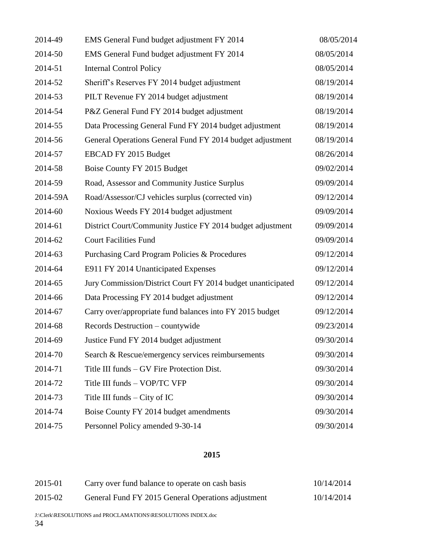| 2014-49  | EMS General Fund budget adjustment FY 2014                  | 08/05/2014 |
|----------|-------------------------------------------------------------|------------|
| 2014-50  | EMS General Fund budget adjustment FY 2014                  | 08/05/2014 |
| 2014-51  | <b>Internal Control Policy</b>                              | 08/05/2014 |
| 2014-52  | Sheriff's Reserves FY 2014 budget adjustment                | 08/19/2014 |
| 2014-53  | PILT Revenue FY 2014 budget adjustment                      | 08/19/2014 |
| 2014-54  | P&Z General Fund FY 2014 budget adjustment                  | 08/19/2014 |
| 2014-55  | Data Processing General Fund FY 2014 budget adjustment      | 08/19/2014 |
| 2014-56  | General Operations General Fund FY 2014 budget adjustment   | 08/19/2014 |
| 2014-57  | EBCAD FY 2015 Budget                                        | 08/26/2014 |
| 2014-58  | Boise County FY 2015 Budget                                 | 09/02/2014 |
| 2014-59  | Road, Assessor and Community Justice Surplus                | 09/09/2014 |
| 2014-59A | Road/Assessor/CJ vehicles surplus (corrected vin)           | 09/12/2014 |
| 2014-60  | Noxious Weeds FY 2014 budget adjustment                     | 09/09/2014 |
| 2014-61  | District Court/Community Justice FY 2014 budget adjustment  | 09/09/2014 |
| 2014-62  | <b>Court Facilities Fund</b>                                | 09/09/2014 |
| 2014-63  | Purchasing Card Program Policies & Procedures               | 09/12/2014 |
| 2014-64  | E911 FY 2014 Unanticipated Expenses                         | 09/12/2014 |
| 2014-65  | Jury Commission/District Court FY 2014 budget unanticipated | 09/12/2014 |
| 2014-66  | Data Processing FY 2014 budget adjustment                   | 09/12/2014 |
| 2014-67  | Carry over/appropriate fund balances into FY 2015 budget    | 09/12/2014 |
| 2014-68  | Records Destruction - countywide                            | 09/23/2014 |
| 2014-69  | Justice Fund FY 2014 budget adjustment                      | 09/30/2014 |
| 2014-70  | Search & Rescue/emergency services reimbursements           | 09/30/2014 |
| 2014-71  | Title III funds – GV Fire Protection Dist.                  | 09/30/2014 |
| 2014-72  | Title III funds - VOP/TC VFP                                | 09/30/2014 |
| 2014-73  | Title III funds $-$ City of IC                              | 09/30/2014 |
| 2014-74  | Boise County FY 2014 budget amendments                      | 09/30/2014 |
| 2014-75  | Personnel Policy amended 9-30-14                            | 09/30/2014 |

| 2015-01 | Carry over fund balance to operate on cash basis   | 10/14/2014 |
|---------|----------------------------------------------------|------------|
| 2015-02 | General Fund FY 2015 General Operations adjustment | 10/14/2014 |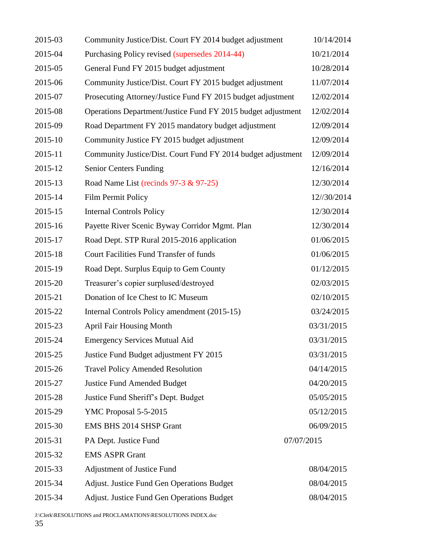| 2015-03 | Community Justice/Dist. Court FY 2014 budget adjustment      | 10/14/2014  |
|---------|--------------------------------------------------------------|-------------|
| 2015-04 | Purchasing Policy revised (supersedes 2014-44)               | 10/21/2014  |
| 2015-05 | General Fund FY 2015 budget adjustment                       | 10/28/2014  |
| 2015-06 | Community Justice/Dist. Court FY 2015 budget adjustment      | 11/07/2014  |
| 2015-07 | Prosecuting Attorney/Justice Fund FY 2015 budget adjustment  | 12/02/2014  |
| 2015-08 | Operations Department/Justice Fund FY 2015 budget adjustment | 12/02/2014  |
| 2015-09 | Road Department FY 2015 mandatory budget adjustment          | 12/09/2014  |
| 2015-10 | Community Justice FY 2015 budget adjustment                  | 12/09/2014  |
| 2015-11 | Community Justice/Dist. Court Fund FY 2014 budget adjustment | 12/09/2014  |
| 2015-12 | <b>Senior Centers Funding</b>                                | 12/16/2014  |
| 2015-13 | Road Name List (recinds 97-3 & 97-25)                        | 12/30/2014  |
| 2015-14 | <b>Film Permit Policy</b>                                    | 12//30/2014 |
| 2015-15 | <b>Internal Controls Policy</b>                              | 12/30/2014  |
| 2015-16 | Payette River Scenic Byway Corridor Mgmt. Plan               | 12/30/2014  |
| 2015-17 | Road Dept. STP Rural 2015-2016 application                   | 01/06/2015  |
| 2015-18 | Court Facilities Fund Transfer of funds                      | 01/06/2015  |
| 2015-19 | Road Dept. Surplus Equip to Gem County                       | 01/12/2015  |
| 2015-20 | Treasurer's copier surplused/destroyed                       | 02/03/2015  |
| 2015-21 | Donation of Ice Chest to IC Museum                           | 02/10/2015  |
| 2015-22 | Internal Controls Policy amendment (2015-15)                 | 03/24/2015  |
| 2015-23 | <b>April Fair Housing Month</b>                              | 03/31/2015  |
| 2015-24 | <b>Emergency Services Mutual Aid</b>                         | 03/31/2015  |
| 2015-25 | Justice Fund Budget adjustment FY 2015                       | 03/31/2015  |
| 2015-26 | <b>Travel Policy Amended Resolution</b>                      | 04/14/2015  |
| 2015-27 | <b>Justice Fund Amended Budget</b>                           | 04/20/2015  |
| 2015-28 | Justice Fund Sheriff's Dept. Budget                          | 05/05/2015  |
| 2015-29 | YMC Proposal 5-5-2015                                        | 05/12/2015  |
| 2015-30 | EMS BHS 2014 SHSP Grant                                      | 06/09/2015  |
| 2015-31 | PA Dept. Justice Fund                                        | 07/07/2015  |
| 2015-32 | <b>EMS ASPR Grant</b>                                        |             |
| 2015-33 | <b>Adjustment of Justice Fund</b>                            | 08/04/2015  |
| 2015-34 | Adjust. Justice Fund Gen Operations Budget                   | 08/04/2015  |
| 2015-34 | Adjust. Justice Fund Gen Operations Budget                   | 08/04/2015  |
|         |                                                              |             |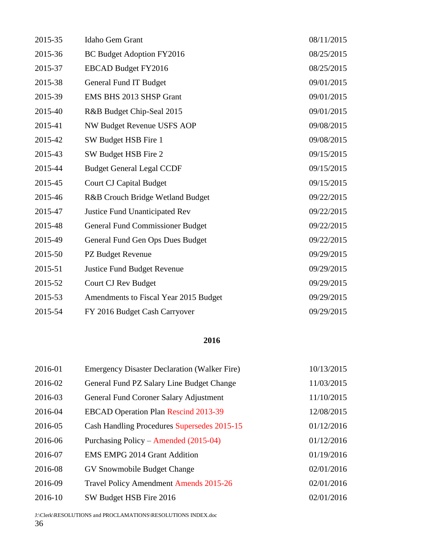| 2015-35 | Idaho Gem Grant                         | 08/11/2015 |
|---------|-----------------------------------------|------------|
| 2015-36 | BC Budget Adoption FY2016               | 08/25/2015 |
| 2015-37 | <b>EBCAD Budget FY2016</b>              | 08/25/2015 |
| 2015-38 | General Fund IT Budget                  | 09/01/2015 |
| 2015-39 | EMS BHS 2013 SHSP Grant                 | 09/01/2015 |
| 2015-40 | R&B Budget Chip-Seal 2015               | 09/01/2015 |
| 2015-41 | NW Budget Revenue USFS AOP              | 09/08/2015 |
| 2015-42 | SW Budget HSB Fire 1                    | 09/08/2015 |
| 2015-43 | SW Budget HSB Fire 2                    | 09/15/2015 |
| 2015-44 | <b>Budget General Legal CCDF</b>        | 09/15/2015 |
| 2015-45 | <b>Court CJ Capital Budget</b>          | 09/15/2015 |
| 2015-46 | R&B Crouch Bridge Wetland Budget        | 09/22/2015 |
| 2015-47 | <b>Justice Fund Unanticipated Rev</b>   | 09/22/2015 |
| 2015-48 | <b>General Fund Commissioner Budget</b> | 09/22/2015 |
| 2015-49 | General Fund Gen Ops Dues Budget        | 09/22/2015 |
| 2015-50 | PZ Budget Revenue                       | 09/29/2015 |
| 2015-51 | Justice Fund Budget Revenue             | 09/29/2015 |
| 2015-52 | Court CJ Rev Budget                     | 09/29/2015 |
| 2015-53 | Amendments to Fiscal Year 2015 Budget   | 09/29/2015 |
| 2015-54 | FY 2016 Budget Cash Carryover           | 09/29/2015 |

| 2016-01 | <b>Emergency Disaster Declaration (Walker Fire)</b> | 10/13/2015 |
|---------|-----------------------------------------------------|------------|
| 2016-02 | General Fund PZ Salary Line Budget Change           | 11/03/2015 |
| 2016-03 | General Fund Coroner Salary Adjustment              | 11/10/2015 |
| 2016-04 | <b>EBCAD Operation Plan Rescind 2013-39</b>         | 12/08/2015 |
| 2016-05 | Cash Handling Procedures Supersedes 2015-15         | 01/12/2016 |
| 2016-06 | Purchasing Policy – Amended (2015-04)               | 01/12/2016 |
| 2016-07 | <b>EMS EMPG 2014 Grant Addition</b>                 | 01/19/2016 |
| 2016-08 | GV Snowmobile Budget Change                         | 02/01/2016 |
| 2016-09 | <b>Travel Policy Amendment Amends 2015-26</b>       | 02/01/2016 |
| 2016-10 | SW Budget HSB Fire 2016                             | 02/01/2016 |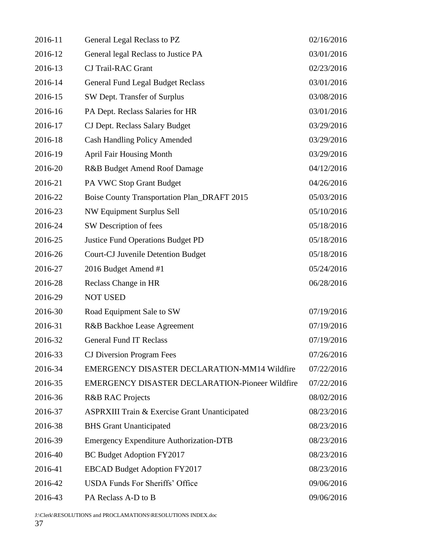| 2016-11 | General Legal Reclass to PZ                              | 02/16/2016 |
|---------|----------------------------------------------------------|------------|
| 2016-12 | General legal Reclass to Justice PA                      | 03/01/2016 |
| 2016-13 | <b>CJ Trail-RAC Grant</b>                                | 02/23/2016 |
| 2016-14 | <b>General Fund Legal Budget Reclass</b>                 | 03/01/2016 |
| 2016-15 | SW Dept. Transfer of Surplus                             | 03/08/2016 |
| 2016-16 | PA Dept. Reclass Salaries for HR                         | 03/01/2016 |
| 2016-17 | CJ Dept. Reclass Salary Budget                           | 03/29/2016 |
| 2016-18 | <b>Cash Handling Policy Amended</b>                      | 03/29/2016 |
| 2016-19 | <b>April Fair Housing Month</b>                          | 03/29/2016 |
| 2016-20 | R&B Budget Amend Roof Damage                             | 04/12/2016 |
| 2016-21 | PA VWC Stop Grant Budget                                 | 04/26/2016 |
| 2016-22 | <b>Boise County Transportation Plan_DRAFT 2015</b>       | 05/03/2016 |
| 2016-23 | NW Equipment Surplus Sell                                | 05/10/2016 |
| 2016-24 | SW Description of fees                                   | 05/18/2016 |
| 2016-25 | <b>Justice Fund Operations Budget PD</b>                 | 05/18/2016 |
| 2016-26 | <b>Court-CJ Juvenile Detention Budget</b>                | 05/18/2016 |
| 2016-27 | 2016 Budget Amend #1                                     | 05/24/2016 |
| 2016-28 | Reclass Change in HR                                     | 06/28/2016 |
| 2016-29 | <b>NOT USED</b>                                          |            |
| 2016-30 | Road Equipment Sale to SW                                | 07/19/2016 |
| 2016-31 | R&B Backhoe Lease Agreement                              | 07/19/2016 |
| 2016-32 | <b>General Fund IT Reclass</b>                           | 07/19/2016 |
| 2016-33 | <b>CJ</b> Diversion Program Fees                         | 07/26/2016 |
| 2016-34 | EMERGENCY DISASTER DECLARATION-MM14 Wildfire             | 07/22/2016 |
| 2016-35 | <b>EMERGENCY DISASTER DECLARATION-Pioneer Wildfire</b>   | 07/22/2016 |
| 2016-36 | <b>R&amp;B RAC Projects</b>                              | 08/02/2016 |
| 2016-37 | <b>ASPRXIII Train &amp; Exercise Grant Unanticipated</b> | 08/23/2016 |
| 2016-38 | <b>BHS</b> Grant Unanticipated                           | 08/23/2016 |
| 2016-39 | <b>Emergency Expenditure Authorization-DTB</b>           | 08/23/2016 |
| 2016-40 | BC Budget Adoption FY2017                                | 08/23/2016 |
| 2016-41 | <b>EBCAD Budget Adoption FY2017</b>                      | 08/23/2016 |
| 2016-42 | <b>USDA Funds For Sheriffs' Office</b>                   | 09/06/2016 |
| 2016-43 | PA Reclass A-D to B                                      | 09/06/2016 |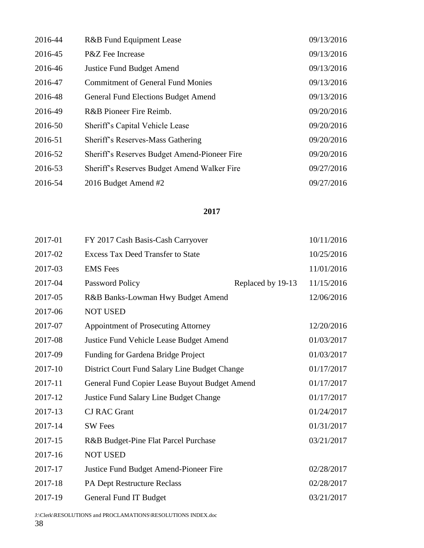| 2016-44 | R&B Fund Equipment Lease                     | 09/13/2016 |
|---------|----------------------------------------------|------------|
| 2016-45 | P&Z Fee Increase                             | 09/13/2016 |
| 2016-46 | <b>Justice Fund Budget Amend</b>             | 09/13/2016 |
| 2016-47 | <b>Commitment of General Fund Monies</b>     | 09/13/2016 |
| 2016-48 | General Fund Elections Budget Amend          | 09/13/2016 |
| 2016-49 | R&B Pioneer Fire Reimb.                      | 09/20/2016 |
| 2016-50 | Sheriff's Capital Vehicle Lease              | 09/20/2016 |
| 2016-51 | Sheriff's Reserves-Mass Gathering            | 09/20/2016 |
| 2016-52 | Sheriff's Reserves Budget Amend-Pioneer Fire | 09/20/2016 |
| 2016-53 | Sheriff's Reserves Budget Amend Walker Fire  | 09/27/2016 |
| 2016-54 | 2016 Budget Amend #2                         | 09/27/2016 |

| 2017-01 | FY 2017 Cash Basis-Cash Carryover              |                   | 10/11/2016 |
|---------|------------------------------------------------|-------------------|------------|
| 2017-02 | <b>Excess Tax Deed Transfer to State</b>       |                   | 10/25/2016 |
| 2017-03 | <b>EMS</b> Fees                                |                   | 11/01/2016 |
| 2017-04 | Password Policy                                | Replaced by 19-13 | 11/15/2016 |
| 2017-05 | R&B Banks-Lowman Hwy Budget Amend              |                   | 12/06/2016 |
| 2017-06 | <b>NOT USED</b>                                |                   |            |
| 2017-07 | <b>Appointment of Prosecuting Attorney</b>     |                   | 12/20/2016 |
| 2017-08 | <b>Justice Fund Vehicle Lease Budget Amend</b> |                   | 01/03/2017 |
| 2017-09 | Funding for Gardena Bridge Project             |                   | 01/03/2017 |
| 2017-10 | District Court Fund Salary Line Budget Change  |                   | 01/17/2017 |
| 2017-11 | General Fund Copier Lease Buyout Budget Amend  |                   | 01/17/2017 |
| 2017-12 | Justice Fund Salary Line Budget Change         |                   | 01/17/2017 |
| 2017-13 | <b>CJ RAC Grant</b>                            |                   | 01/24/2017 |
| 2017-14 | <b>SW</b> Fees                                 |                   | 01/31/2017 |
| 2017-15 | R&B Budget-Pine Flat Parcel Purchase           |                   | 03/21/2017 |
| 2017-16 | <b>NOT USED</b>                                |                   |            |
| 2017-17 | Justice Fund Budget Amend-Pioneer Fire         |                   | 02/28/2017 |
| 2017-18 | PA Dept Restructure Reclass                    |                   | 02/28/2017 |
| 2017-19 | General Fund IT Budget                         |                   | 03/21/2017 |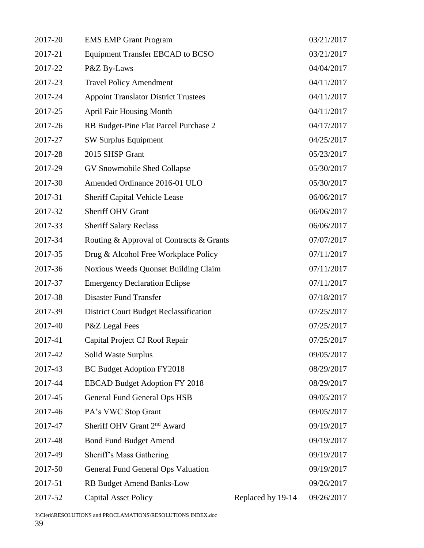| 2017-20 | <b>EMS EMP Grant Program</b>                  |                   | 03/21/2017 |
|---------|-----------------------------------------------|-------------------|------------|
| 2017-21 | <b>Equipment Transfer EBCAD to BCSO</b>       |                   | 03/21/2017 |
| 2017-22 | P&Z By-Laws                                   |                   | 04/04/2017 |
| 2017-23 | <b>Travel Policy Amendment</b>                |                   | 04/11/2017 |
| 2017-24 | <b>Appoint Translator District Trustees</b>   |                   | 04/11/2017 |
| 2017-25 | <b>April Fair Housing Month</b>               |                   | 04/11/2017 |
| 2017-26 | RB Budget-Pine Flat Parcel Purchase 2         |                   | 04/17/2017 |
| 2017-27 | <b>SW Surplus Equipment</b>                   |                   | 04/25/2017 |
| 2017-28 | 2015 SHSP Grant                               |                   | 05/23/2017 |
| 2017-29 | GV Snowmobile Shed Collapse                   |                   | 05/30/2017 |
| 2017-30 | Amended Ordinance 2016-01 ULO                 |                   | 05/30/2017 |
| 2017-31 | <b>Sheriff Capital Vehicle Lease</b>          |                   | 06/06/2017 |
| 2017-32 | <b>Sheriff OHV Grant</b>                      |                   | 06/06/2017 |
| 2017-33 | <b>Sheriff Salary Reclass</b>                 |                   | 06/06/2017 |
| 2017-34 | Routing & Approval of Contracts & Grants      |                   | 07/07/2017 |
| 2017-35 | Drug & Alcohol Free Workplace Policy          |                   | 07/11/2017 |
| 2017-36 | Noxious Weeds Quonset Building Claim          |                   | 07/11/2017 |
| 2017-37 | <b>Emergency Declaration Eclipse</b>          |                   | 07/11/2017 |
| 2017-38 | Disaster Fund Transfer                        |                   | 07/18/2017 |
| 2017-39 | <b>District Court Budget Reclassification</b> |                   | 07/25/2017 |
| 2017-40 | P&Z Legal Fees                                |                   | 07/25/2017 |
| 2017-41 | Capital Project CJ Roof Repair                |                   | 07/25/2017 |
| 2017-42 | Solid Waste Surplus                           |                   | 09/05/2017 |
| 2017-43 | BC Budget Adoption FY2018                     |                   | 08/29/2017 |
| 2017-44 | <b>EBCAD Budget Adoption FY 2018</b>          |                   | 08/29/2017 |
| 2017-45 | <b>General Fund General Ops HSB</b>           |                   | 09/05/2017 |
| 2017-46 | PA's VWC Stop Grant                           |                   | 09/05/2017 |
| 2017-47 | Sheriff OHV Grant 2 <sup>nd</sup> Award       |                   | 09/19/2017 |
| 2017-48 | <b>Bond Fund Budget Amend</b>                 |                   | 09/19/2017 |
| 2017-49 | Sheriff's Mass Gathering                      |                   | 09/19/2017 |
| 2017-50 | General Fund General Ops Valuation            |                   | 09/19/2017 |
| 2017-51 | <b>RB Budget Amend Banks-Low</b>              |                   | 09/26/2017 |
| 2017-52 | <b>Capital Asset Policy</b>                   | Replaced by 19-14 | 09/26/2017 |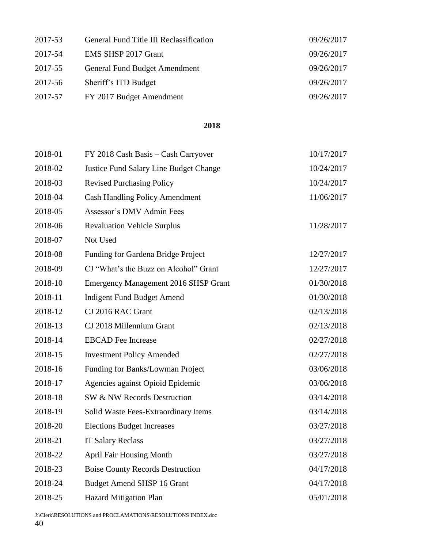| 2017-53 | General Fund Title III Reclassification | 09/26/2017 |
|---------|-----------------------------------------|------------|
| 2017-54 | EMS SHSP 2017 Grant                     | 09/26/2017 |
| 2017-55 | General Fund Budget Amendment           | 09/26/2017 |
| 2017-56 | Sheriff's ITD Budget                    | 09/26/2017 |
| 2017-57 | FY 2017 Budget Amendment                | 09/26/2017 |

| 2018-01 | FY 2018 Cash Basis - Cash Carryover         | 10/17/2017 |
|---------|---------------------------------------------|------------|
| 2018-02 | Justice Fund Salary Line Budget Change      | 10/24/2017 |
| 2018-03 | <b>Revised Purchasing Policy</b>            | 10/24/2017 |
| 2018-04 | <b>Cash Handling Policy Amendment</b>       | 11/06/2017 |
| 2018-05 | Assessor's DMV Admin Fees                   |            |
| 2018-06 | <b>Revaluation Vehicle Surplus</b>          | 11/28/2017 |
| 2018-07 | Not Used                                    |            |
| 2018-08 | Funding for Gardena Bridge Project          | 12/27/2017 |
| 2018-09 | CJ "What's the Buzz on Alcohol" Grant       | 12/27/2017 |
| 2018-10 | <b>Emergency Management 2016 SHSP Grant</b> | 01/30/2018 |
| 2018-11 | <b>Indigent Fund Budget Amend</b>           | 01/30/2018 |
| 2018-12 | CJ 2016 RAC Grant                           | 02/13/2018 |
| 2018-13 | CJ 2018 Millennium Grant                    | 02/13/2018 |
| 2018-14 | <b>EBCAD</b> Fee Increase                   | 02/27/2018 |
| 2018-15 | <b>Investment Policy Amended</b>            | 02/27/2018 |
| 2018-16 | Funding for Banks/Lowman Project            | 03/06/2018 |
| 2018-17 | Agencies against Opioid Epidemic            | 03/06/2018 |
| 2018-18 | SW & NW Records Destruction                 | 03/14/2018 |
| 2018-19 | Solid Waste Fees-Extraordinary Items        | 03/14/2018 |
| 2018-20 | <b>Elections Budget Increases</b>           | 03/27/2018 |
| 2018-21 | <b>IT Salary Reclass</b>                    | 03/27/2018 |
| 2018-22 | <b>April Fair Housing Month</b>             | 03/27/2018 |
| 2018-23 | <b>Boise County Records Destruction</b>     | 04/17/2018 |
| 2018-24 | <b>Budget Amend SHSP 16 Grant</b>           | 04/17/2018 |
| 2018-25 | <b>Hazard Mitigation Plan</b>               | 05/01/2018 |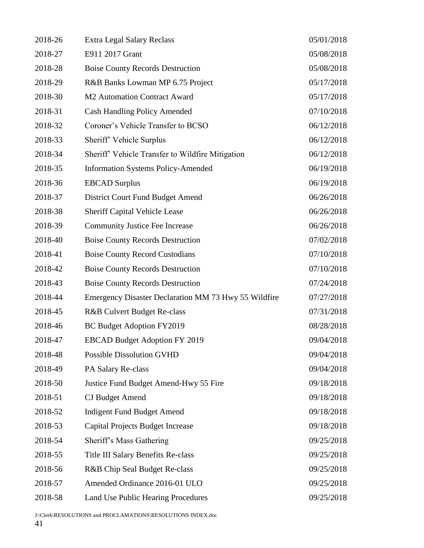| 2018-26 | <b>Extra Legal Salary Reclass</b>                    | 05/01/2018 |
|---------|------------------------------------------------------|------------|
| 2018-27 | E911 2017 Grant                                      | 05/08/2018 |
| 2018-28 | <b>Boise County Records Destruction</b>              | 05/08/2018 |
| 2018-29 | R&B Banks Lowman MP 6.75 Project                     | 05/17/2018 |
| 2018-30 | M2 Automation Contract Award                         | 05/17/2018 |
| 2018-31 | <b>Cash Handling Policy Amended</b>                  | 07/10/2018 |
| 2018-32 | Coroner's Vehicle Transfer to BCSO                   | 06/12/2018 |
| 2018-33 | Sheriff' Vehicle Surplus                             | 06/12/2018 |
| 2018-34 | Sheriff' Vehicle Transfer to Wildfire Mitigation     | 06/12/2018 |
| 2018-35 | <b>Information Systems Policy-Amended</b>            | 06/19/2018 |
| 2018-36 | <b>EBCAD</b> Surplus                                 | 06/19/2018 |
| 2018-37 | District Court Fund Budget Amend                     | 06/26/2018 |
| 2018-38 | <b>Sheriff Capital Vehicle Lease</b>                 | 06/26/2018 |
| 2018-39 | <b>Community Justice Fee Increase</b>                | 06/26/2018 |
| 2018-40 | <b>Boise County Records Destruction</b>              | 07/02/2018 |
| 2018-41 | <b>Boise County Record Custodians</b>                | 07/10/2018 |
| 2018-42 | <b>Boise County Records Destruction</b>              | 07/10/2018 |
| 2018-43 | <b>Boise County Records Destruction</b>              | 07/24/2018 |
| 2018-44 | Emergency Disaster Declaration MM 73 Hwy 55 Wildfire | 07/27/2018 |
| 2018-45 | R&B Culvert Budget Re-class                          | 07/31/2018 |
| 2018-46 | BC Budget Adoption FY2019                            | 08/28/2018 |
| 2018-47 | <b>EBCAD Budget Adoption FY 2019</b>                 | 09/04/2018 |
| 2018-48 | <b>Possible Dissolution GVHD</b>                     | 09/04/2018 |
| 2018-49 | PA Salary Re-class                                   | 09/04/2018 |
| 2018-50 | Justice Fund Budget Amend-Hwy 55 Fire                | 09/18/2018 |
| 2018-51 | <b>CJ</b> Budget Amend                               | 09/18/2018 |
| 2018-52 | <b>Indigent Fund Budget Amend</b>                    | 09/18/2018 |
| 2018-53 | <b>Capital Projects Budget Increase</b>              | 09/18/2018 |
| 2018-54 | Sheriff's Mass Gathering                             | 09/25/2018 |
| 2018-55 | Title III Salary Benefits Re-class                   | 09/25/2018 |
| 2018-56 | R&B Chip Seal Budget Re-class                        | 09/25/2018 |
| 2018-57 | Amended Ordinance 2016-01 ULO                        | 09/25/2018 |
| 2018-58 | Land Use Public Hearing Procedures                   | 09/25/2018 |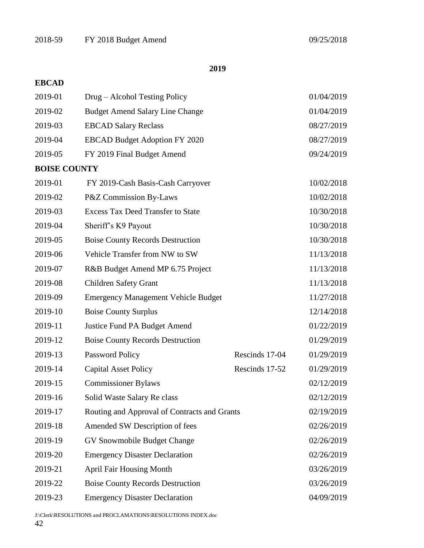# **EBCAD**

| 2019-01             | Drug – Alcohol Testing Policy                |                | 01/04/2019 |
|---------------------|----------------------------------------------|----------------|------------|
| 2019-02             | <b>Budget Amend Salary Line Change</b>       |                | 01/04/2019 |
| 2019-03             | <b>EBCAD Salary Reclass</b>                  |                | 08/27/2019 |
| 2019-04             | <b>EBCAD Budget Adoption FY 2020</b>         |                | 08/27/2019 |
| 2019-05             | FY 2019 Final Budget Amend                   |                | 09/24/2019 |
| <b>BOISE COUNTY</b> |                                              |                |            |
| 2019-01             | FY 2019-Cash Basis-Cash Carryover            |                | 10/02/2018 |
| 2019-02             | P&Z Commission By-Laws                       |                | 10/02/2018 |
| 2019-03             | <b>Excess Tax Deed Transfer to State</b>     |                | 10/30/2018 |
| 2019-04             | Sheriff's K9 Payout                          |                | 10/30/2018 |
| 2019-05             | <b>Boise County Records Destruction</b>      |                | 10/30/2018 |
| 2019-06             | Vehicle Transfer from NW to SW               |                | 11/13/2018 |
| 2019-07             | R&B Budget Amend MP 6.75 Project             |                | 11/13/2018 |
| 2019-08             | <b>Children Safety Grant</b>                 |                | 11/13/2018 |
| 2019-09             | <b>Emergency Management Vehicle Budget</b>   |                | 11/27/2018 |
| 2019-10             | <b>Boise County Surplus</b>                  |                | 12/14/2018 |
| 2019-11             | <b>Justice Fund PA Budget Amend</b>          |                | 01/22/2019 |
| 2019-12             | <b>Boise County Records Destruction</b>      |                | 01/29/2019 |
| 2019-13             | Password Policy                              | Rescinds 17-04 | 01/29/2019 |
| 2019-14             | <b>Capital Asset Policy</b>                  | Rescinds 17-52 | 01/29/2019 |
| 2019-15             | <b>Commissioner Bylaws</b>                   |                | 02/12/2019 |
| 2019-16             | Solid Waste Salary Re class                  |                | 02/12/2019 |
| 2019-17             | Routing and Approval of Contracts and Grants |                | 02/19/2019 |
| 2019-18             | Amended SW Description of fees               |                | 02/26/2019 |
| 2019-19             | GV Snowmobile Budget Change                  |                | 02/26/2019 |
| 2019-20             | <b>Emergency Disaster Declaration</b>        |                | 02/26/2019 |
| 2019-21             | <b>April Fair Housing Month</b>              |                | 03/26/2019 |
| 2019-22             | <b>Boise County Records Destruction</b>      |                | 03/26/2019 |
| 2019-23             | <b>Emergency Disaster Declaration</b>        |                | 04/09/2019 |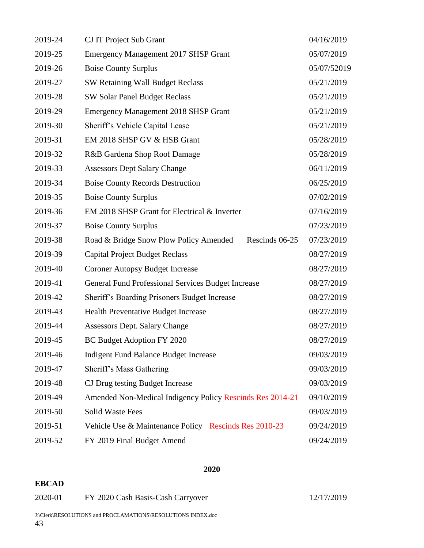| 2019-24 | <b>CJ IT Project Sub Grant</b>                            | 04/16/2019  |
|---------|-----------------------------------------------------------|-------------|
| 2019-25 | <b>Emergency Management 2017 SHSP Grant</b>               | 05/07/2019  |
| 2019-26 | <b>Boise County Surplus</b>                               | 05/07/52019 |
| 2019-27 | SW Retaining Wall Budget Reclass                          | 05/21/2019  |
| 2019-28 | SW Solar Panel Budget Reclass                             | 05/21/2019  |
| 2019-29 | <b>Emergency Management 2018 SHSP Grant</b>               | 05/21/2019  |
| 2019-30 | Sheriff's Vehicle Capital Lease                           | 05/21/2019  |
| 2019-31 | EM 2018 SHSP GV & HSB Grant                               | 05/28/2019  |
| 2019-32 | R&B Gardena Shop Roof Damage                              | 05/28/2019  |
| 2019-33 | <b>Assessors Dept Salary Change</b>                       | 06/11/2019  |
| 2019-34 | <b>Boise County Records Destruction</b>                   | 06/25/2019  |
| 2019-35 | <b>Boise County Surplus</b>                               | 07/02/2019  |
| 2019-36 | EM 2018 SHSP Grant for Electrical & Inverter              | 07/16/2019  |
| 2019-37 | <b>Boise County Surplus</b>                               | 07/23/2019  |
| 2019-38 | Road & Bridge Snow Plow Policy Amended<br>Rescinds 06-25  | 07/23/2019  |
| 2019-39 | <b>Capital Project Budget Reclass</b>                     | 08/27/2019  |
| 2019-40 | <b>Coroner Autopsy Budget Increase</b>                    | 08/27/2019  |
| 2019-41 | General Fund Professional Services Budget Increase        | 08/27/2019  |
| 2019-42 | Sheriff's Boarding Prisoners Budget Increase              | 08/27/2019  |
| 2019-43 | <b>Health Preventative Budget Increase</b>                | 08/27/2019  |
| 2019-44 | <b>Assessors Dept. Salary Change</b>                      | 08/27/2019  |
| 2019-45 | BC Budget Adoption FY 2020                                | 08/27/2019  |
| 2019-46 | <b>Indigent Fund Balance Budget Increase</b>              | 09/03/2019  |
| 2019-47 | Sheriff's Mass Gathering                                  | 09/03/2019  |
| 2019-48 | CJ Drug testing Budget Increase                           | 09/03/2019  |
| 2019-49 | Amended Non-Medical Indigency Policy Rescinds Res 2014-21 | 09/10/2019  |
| 2019-50 | <b>Solid Waste Fees</b>                                   | 09/03/2019  |
| 2019-51 | Vehicle Use & Maintenance Policy Rescinds Res 2010-23     | 09/24/2019  |
| 2019-52 | FY 2019 Final Budget Amend                                | 09/24/2019  |

**EBCAD**

| 2020-01 | FY 2020 Cash Basis-Cash Carryover | 12/17/2019 |
|---------|-----------------------------------|------------|
|---------|-----------------------------------|------------|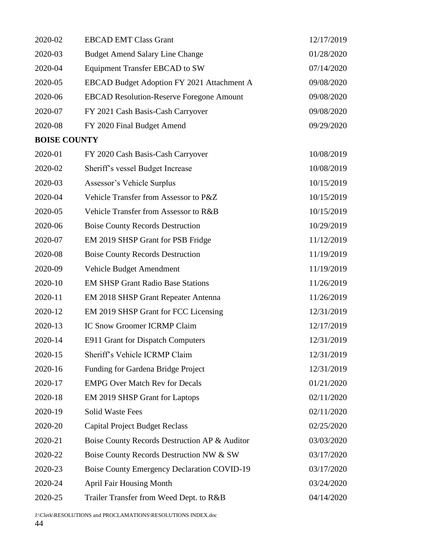| 2020-02             | <b>EBCAD EMT Class Grant</b>                       | 12/17/2019 |
|---------------------|----------------------------------------------------|------------|
| 2020-03             | <b>Budget Amend Salary Line Change</b>             | 01/28/2020 |
| 2020-04             | <b>Equipment Transfer EBCAD to SW</b>              | 07/14/2020 |
| 2020-05             | EBCAD Budget Adoption FY 2021 Attachment A         | 09/08/2020 |
| 2020-06             | <b>EBCAD Resolution-Reserve Foregone Amount</b>    | 09/08/2020 |
| 2020-07             | FY 2021 Cash Basis-Cash Carryover                  | 09/08/2020 |
| 2020-08             | FY 2020 Final Budget Amend                         | 09/29/2020 |
| <b>BOISE COUNTY</b> |                                                    |            |
| 2020-01             | FY 2020 Cash Basis-Cash Carryover                  | 10/08/2019 |
| 2020-02             | Sheriff's vessel Budget Increase                   | 10/08/2019 |
| 2020-03             | Assessor's Vehicle Surplus                         | 10/15/2019 |
| 2020-04             | Vehicle Transfer from Assessor to P&Z              | 10/15/2019 |
| 2020-05             | Vehicle Transfer from Assessor to R&B              | 10/15/2019 |
| 2020-06             | <b>Boise County Records Destruction</b>            | 10/29/2019 |
| 2020-07             | EM 2019 SHSP Grant for PSB Fridge                  | 11/12/2019 |
| 2020-08             | <b>Boise County Records Destruction</b>            | 11/19/2019 |
| 2020-09             | Vehicle Budget Amendment                           | 11/19/2019 |
| 2020-10             | <b>EM SHSP Grant Radio Base Stations</b>           | 11/26/2019 |
| 2020-11             | <b>EM 2018 SHSP Grant Repeater Antenna</b>         | 11/26/2019 |
| 2020-12             | EM 2019 SHSP Grant for FCC Licensing               | 12/31/2019 |
| 2020-13             | <b>IC Snow Groomer ICRMP Claim</b>                 | 12/17/2019 |
| 2020-14             | E911 Grant for Dispatch Computers                  | 12/31/2019 |
| 2020-15             | Sheriff's Vehicle ICRMP Claim                      | 12/31/2019 |
| 2020-16             | Funding for Gardena Bridge Project                 | 12/31/2019 |
| 2020-17             | <b>EMPG Over Match Rev for Decals</b>              | 01/21/2020 |
| 2020-18             | EM 2019 SHSP Grant for Laptops                     | 02/11/2020 |
| 2020-19             | <b>Solid Waste Fees</b>                            | 02/11/2020 |
| 2020-20             | <b>Capital Project Budget Reclass</b>              | 02/25/2020 |
| 2020-21             | Boise County Records Destruction AP & Auditor      | 03/03/2020 |
| 2020-22             | Boise County Records Destruction NW & SW           | 03/17/2020 |
| 2020-23             | <b>Boise County Emergency Declaration COVID-19</b> | 03/17/2020 |
| 2020-24             | <b>April Fair Housing Month</b>                    | 03/24/2020 |
| 2020-25             | Trailer Transfer from Weed Dept. to R&B            | 04/14/2020 |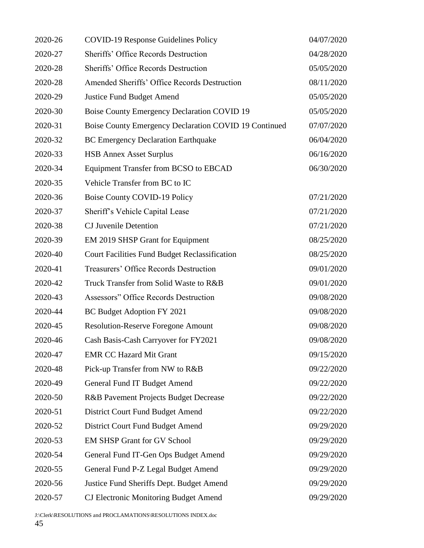| 2020-26 | <b>COVID-19 Response Guidelines Policy</b>            | 04/07/2020 |
|---------|-------------------------------------------------------|------------|
| 2020-27 | Sheriffs' Office Records Destruction                  | 04/28/2020 |
| 2020-28 | <b>Sheriffs' Office Records Destruction</b>           | 05/05/2020 |
| 2020-28 | Amended Sheriffs' Office Records Destruction          | 08/11/2020 |
| 2020-29 | <b>Justice Fund Budget Amend</b>                      | 05/05/2020 |
| 2020-30 | <b>Boise County Emergency Declaration COVID 19</b>    | 05/05/2020 |
| 2020-31 | Boise County Emergency Declaration COVID 19 Continued | 07/07/2020 |
| 2020-32 | <b>BC Emergency Declaration Earthquake</b>            | 06/04/2020 |
| 2020-33 | <b>HSB Annex Asset Surplus</b>                        | 06/16/2020 |
| 2020-34 | Equipment Transfer from BCSO to EBCAD                 | 06/30/2020 |
| 2020-35 | Vehicle Transfer from BC to IC                        |            |
| 2020-36 | Boise County COVID-19 Policy                          | 07/21/2020 |
| 2020-37 | Sheriff's Vehicle Capital Lease                       | 07/21/2020 |
| 2020-38 | <b>CJ</b> Juvenile Detention                          | 07/21/2020 |
| 2020-39 | EM 2019 SHSP Grant for Equipment                      | 08/25/2020 |
| 2020-40 | Court Facilities Fund Budget Reclassification         | 08/25/2020 |
| 2020-41 | Treasurers' Office Records Destruction                | 09/01/2020 |
| 2020-42 | Truck Transfer from Solid Waste to R&B                | 09/01/2020 |
| 2020-43 | Assessors" Office Records Destruction                 | 09/08/2020 |
| 2020-44 | BC Budget Adoption FY 2021                            | 09/08/2020 |
| 2020-45 | <b>Resolution-Reserve Foregone Amount</b>             | 09/08/2020 |
| 2020-46 | Cash Basis-Cash Carryover for FY2021                  | 09/08/2020 |
| 2020-47 | <b>EMR CC Hazard Mit Grant</b>                        | 09/15/2020 |
| 2020-48 | Pick-up Transfer from NW to R&B                       | 09/22/2020 |
| 2020-49 | General Fund IT Budget Amend                          | 09/22/2020 |
| 2020-50 | R&B Pavement Projects Budget Decrease                 | 09/22/2020 |
| 2020-51 | District Court Fund Budget Amend                      | 09/22/2020 |
| 2020-52 | District Court Fund Budget Amend                      | 09/29/2020 |
| 2020-53 | <b>EM SHSP Grant for GV School</b>                    | 09/29/2020 |
| 2020-54 | General Fund IT-Gen Ops Budget Amend                  | 09/29/2020 |
| 2020-55 | General Fund P-Z Legal Budget Amend                   | 09/29/2020 |
| 2020-56 | Justice Fund Sheriffs Dept. Budget Amend              | 09/29/2020 |
| 2020-57 | <b>CJ Electronic Monitoring Budget Amend</b>          | 09/29/2020 |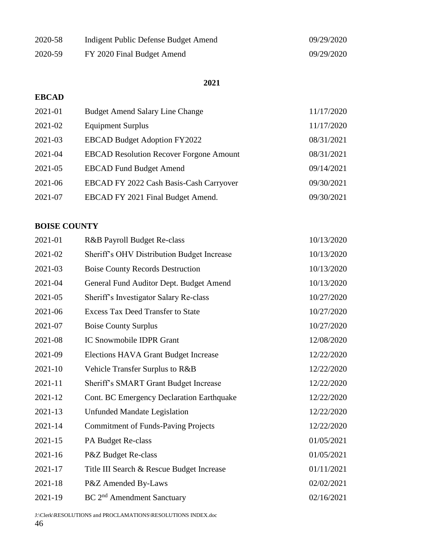| 2020-58 | Indigent Public Defense Budget Amend | 09/29/2020 |
|---------|--------------------------------------|------------|
| 2020-59 | FY 2020 Final Budget Amend           | 09/29/2020 |

# **EBCAD**

| 2021-01 | <b>Budget Amend Salary Line Change</b>         | 11/17/2020 |
|---------|------------------------------------------------|------------|
| 2021-02 | <b>Equipment Surplus</b>                       | 11/17/2020 |
| 2021-03 | <b>EBCAD Budget Adoption FY2022</b>            | 08/31/2021 |
| 2021-04 | <b>EBCAD Resolution Recover Forgone Amount</b> | 08/31/2021 |
| 2021-05 | <b>EBCAD Fund Budget Amend</b>                 | 09/14/2021 |
| 2021-06 | EBCAD FY 2022 Cash Basis-Cash Carryover        | 09/30/2021 |
| 2021-07 | EBCAD FY 2021 Final Budget Amend.              | 09/30/2021 |

# **BOISE COUNTY**

| 2021-01     | R&B Payroll Budget Re-class                      | 10/13/2020 |
|-------------|--------------------------------------------------|------------|
| 2021-02     | Sheriff's OHV Distribution Budget Increase       | 10/13/2020 |
| 2021-03     | <b>Boise County Records Destruction</b>          | 10/13/2020 |
| 2021-04     | General Fund Auditor Dept. Budget Amend          | 10/13/2020 |
| 2021-05     | Sheriff's Investigator Salary Re-class           | 10/27/2020 |
| 2021-06     | <b>Excess Tax Deed Transfer to State</b>         | 10/27/2020 |
| 2021-07     | <b>Boise County Surplus</b>                      | 10/27/2020 |
| 2021-08     | IC Snowmobile IDPR Grant                         | 12/08/2020 |
| 2021-09     | <b>Elections HAVA Grant Budget Increase</b>      | 12/22/2020 |
| 2021-10     | Vehicle Transfer Surplus to R&B                  | 12/22/2020 |
| 2021-11     | Sheriff's SMART Grant Budget Increase            | 12/22/2020 |
| 2021-12     | <b>Cont. BC Emergency Declaration Earthquake</b> | 12/22/2020 |
| 2021-13     | <b>Unfunded Mandate Legislation</b>              | 12/22/2020 |
| 2021-14     | <b>Commitment of Funds-Paving Projects</b>       | 12/22/2020 |
| $2021 - 15$ | PA Budget Re-class                               | 01/05/2021 |
| $2021 - 16$ | P&Z Budget Re-class                              | 01/05/2021 |
| 2021-17     | Title III Search & Rescue Budget Increase        | 01/11/2021 |
| 2021-18     | P&Z Amended By-Laws                              | 02/02/2021 |
| 2021-19     | BC 2 <sup>nd</sup> Amendment Sanctuary           | 02/16/2021 |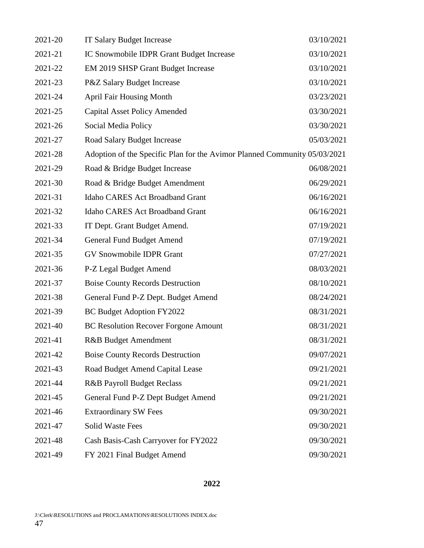| 2021-20 | <b>IT Salary Budget Increase</b>                                          | 03/10/2021 |  |
|---------|---------------------------------------------------------------------------|------------|--|
| 2021-21 | IC Snowmobile IDPR Grant Budget Increase                                  | 03/10/2021 |  |
| 2021-22 | EM 2019 SHSP Grant Budget Increase                                        | 03/10/2021 |  |
| 2021-23 | P&Z Salary Budget Increase                                                | 03/10/2021 |  |
| 2021-24 | <b>April Fair Housing Month</b>                                           | 03/23/2021 |  |
| 2021-25 | <b>Capital Asset Policy Amended</b>                                       | 03/30/2021 |  |
| 2021-26 | Social Media Policy                                                       | 03/30/2021 |  |
| 2021-27 | Road Salary Budget Increase                                               | 05/03/2021 |  |
| 2021-28 | Adoption of the Specific Plan for the Avimor Planned Community 05/03/2021 |            |  |
| 2021-29 | Road & Bridge Budget Increase                                             | 06/08/2021 |  |
| 2021-30 | Road & Bridge Budget Amendment                                            | 06/29/2021 |  |
| 2021-31 | <b>Idaho CARES Act Broadband Grant</b>                                    | 06/16/2021 |  |
| 2021-32 | Idaho CARES Act Broadband Grant                                           | 06/16/2021 |  |
| 2021-33 | IT Dept. Grant Budget Amend.                                              | 07/19/2021 |  |
| 2021-34 | <b>General Fund Budget Amend</b>                                          | 07/19/2021 |  |
| 2021-35 | <b>GV Snowmobile IDPR Grant</b>                                           | 07/27/2021 |  |
| 2021-36 | P-Z Legal Budget Amend                                                    | 08/03/2021 |  |
| 2021-37 | <b>Boise County Records Destruction</b>                                   | 08/10/2021 |  |
| 2021-38 | General Fund P-Z Dept. Budget Amend                                       | 08/24/2021 |  |
| 2021-39 | BC Budget Adoption FY2022                                                 | 08/31/2021 |  |
| 2021-40 | <b>BC Resolution Recover Forgone Amount</b>                               | 08/31/2021 |  |
| 2021-41 | R&B Budget Amendment                                                      | 08/31/2021 |  |
| 2021-42 | <b>Boise County Records Destruction</b>                                   | 09/07/2021 |  |
| 2021-43 | Road Budget Amend Capital Lease                                           | 09/21/2021 |  |
| 2021-44 | <b>R&amp;B Payroll Budget Reclass</b>                                     | 09/21/2021 |  |
| 2021-45 | General Fund P-Z Dept Budget Amend                                        | 09/21/2021 |  |
| 2021-46 | <b>Extraordinary SW Fees</b>                                              | 09/30/2021 |  |
| 2021-47 | <b>Solid Waste Fees</b>                                                   | 09/30/2021 |  |
| 2021-48 | Cash Basis-Cash Carryover for FY2022                                      | 09/30/2021 |  |
| 2021-49 | FY 2021 Final Budget Amend                                                | 09/30/2021 |  |